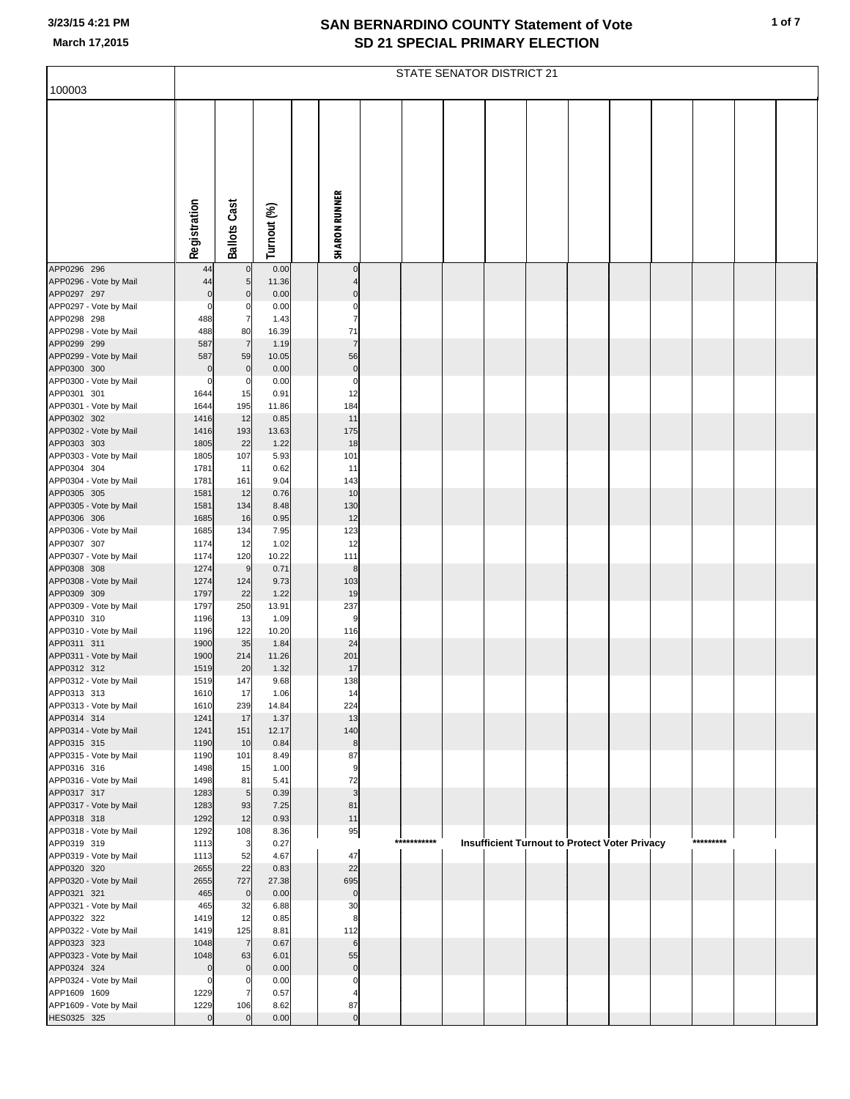|                                        | <b>STATE SENATOR DISTRICT 21</b> |                       |               |  |                        |  |             |  |  |  |                                                      |  |  |           |  |
|----------------------------------------|----------------------------------|-----------------------|---------------|--|------------------------|--|-------------|--|--|--|------------------------------------------------------|--|--|-----------|--|
| 100003                                 |                                  |                       |               |  |                        |  |             |  |  |  |                                                      |  |  |           |  |
|                                        | Registration                     | <b>Ballots Cast</b>   | Turnout (%)   |  | <b>SHARON RUNNER</b>   |  |             |  |  |  |                                                      |  |  |           |  |
| APP0296 296                            | 44                               | 0                     | 0.00          |  | $\mathbf 0$            |  |             |  |  |  |                                                      |  |  |           |  |
| APP0296 - Vote by Mail<br>APP0297 297  | 44<br>$\mathbf 0$                | 5<br>$\mathbf 0$      | 11.36<br>0.00 |  | $\mathbf 0$            |  |             |  |  |  |                                                      |  |  |           |  |
| APP0297 - Vote by Mail                 | $\mathbf 0$                      | C                     | 0.00          |  | $\mathbf 0$            |  |             |  |  |  |                                                      |  |  |           |  |
| APP0298 298                            | 488                              | $\overline{7}$        | 1.43          |  | $\overline{7}$         |  |             |  |  |  |                                                      |  |  |           |  |
| APP0298 - Vote by Mail<br>APP0299 299  | 488<br>587                       | 80<br>$\overline{7}$  | 16.39<br>1.19 |  | 71<br>$\overline{7}$   |  |             |  |  |  |                                                      |  |  |           |  |
| APP0299 - Vote by Mail                 | 587                              | 59                    | 10.05         |  | 56                     |  |             |  |  |  |                                                      |  |  |           |  |
| APP0300 300                            | $\mathbf 0$                      | $\pmb{0}$             | 0.00          |  | $\pmb{0}$              |  |             |  |  |  |                                                      |  |  |           |  |
| APP0300 - Vote by Mail<br>APP0301 301  | 0<br>1644                        | C<br>15               | 0.00<br>0.91  |  | $\mathbf 0$<br>12      |  |             |  |  |  |                                                      |  |  |           |  |
| APP0301 - Vote by Mail                 | 1644                             | 195                   | 11.86         |  | 184                    |  |             |  |  |  |                                                      |  |  |           |  |
| APP0302 302                            | 1416                             | 12                    | 0.85          |  | 11                     |  |             |  |  |  |                                                      |  |  |           |  |
| APP0302 - Vote by Mail                 | 1416                             | 193                   | 13.63         |  | 175                    |  |             |  |  |  |                                                      |  |  |           |  |
| APP0303 303<br>APP0303 - Vote by Mail  | 1805<br>1805                     | 22<br>107             | 1.22<br>5.93  |  | 18<br>101              |  |             |  |  |  |                                                      |  |  |           |  |
| APP0304 304                            | 1781                             | 11                    | 0.62          |  | 11                     |  |             |  |  |  |                                                      |  |  |           |  |
| APP0304 - Vote by Mail                 | 1781                             | 161                   | 9.04          |  | 143                    |  |             |  |  |  |                                                      |  |  |           |  |
| APP0305 305<br>APP0305 - Vote by Mail  | 1581<br>1581                     | 12<br>134             | 0.76<br>8.48  |  | 10<br>130              |  |             |  |  |  |                                                      |  |  |           |  |
| APP0306 306                            | 1685                             | 16                    | 0.95          |  | 12                     |  |             |  |  |  |                                                      |  |  |           |  |
| APP0306 - Vote by Mail                 | 1685                             | 134                   | 7.95          |  | 123                    |  |             |  |  |  |                                                      |  |  |           |  |
| APP0307 307                            | 1174                             | 12                    | 1.02          |  | 12                     |  |             |  |  |  |                                                      |  |  |           |  |
| APP0307 - Vote by Mail<br>APP0308 308  | 1174<br>1274                     | 120<br>9              | 10.22<br>0.71 |  | 111<br>8               |  |             |  |  |  |                                                      |  |  |           |  |
| APP0308 - Vote by Mail                 | 1274                             | 124                   | 9.73          |  | 103                    |  |             |  |  |  |                                                      |  |  |           |  |
| APP0309 309                            | 1797                             | 22                    | 1.22          |  | 19                     |  |             |  |  |  |                                                      |  |  |           |  |
| APP0309 - Vote by Mail<br>APP0310 310  | 1797<br>1196                     | 250<br>13             | 13.91<br>1.09 |  | 237<br>9               |  |             |  |  |  |                                                      |  |  |           |  |
| APP0310 - Vote by Mail                 | 1196                             | 122                   | 10.20         |  | 116                    |  |             |  |  |  |                                                      |  |  |           |  |
| APP0311 311                            | 1900                             | 35                    | 1.84          |  | 24                     |  |             |  |  |  |                                                      |  |  |           |  |
| APP0311 - Vote by Mail                 | 1900                             | 214                   | 11.26         |  | 201                    |  |             |  |  |  |                                                      |  |  |           |  |
| APP0312 312<br>APP0312 - Vote by Mail  | 1519<br>1519                     | 20<br>147             | 1.32<br>9.68  |  | 17<br>138              |  |             |  |  |  |                                                      |  |  |           |  |
| APP0313 313                            | 1610                             | 17                    | 1.06          |  | 14                     |  |             |  |  |  |                                                      |  |  |           |  |
| APP0313 - Vote by Mail                 | 1610                             | 239                   | 14.84         |  | 224                    |  |             |  |  |  |                                                      |  |  |           |  |
| APP0314 314<br>APP0314 - Vote by Mail  | 1241<br>1241                     | 17<br>151             | 1.37<br>12.17 |  | 13<br>140              |  |             |  |  |  |                                                      |  |  |           |  |
| APP0315 315                            | 1190                             | 10                    | 0.84          |  | $\bf8$                 |  |             |  |  |  |                                                      |  |  |           |  |
| APP0315 - Vote by Mail                 | 1190                             | 101                   | 8.49          |  | 87                     |  |             |  |  |  |                                                      |  |  |           |  |
| APP0316 316<br>APP0316 - Vote by Mail  | 1498<br>1498                     | 15<br>81              | 1.00<br>5.41  |  | $\boldsymbol{9}$<br>72 |  |             |  |  |  |                                                      |  |  |           |  |
| APP0317 317                            | 1283                             | $5\phantom{.0}$       | 0.39          |  | 3                      |  |             |  |  |  |                                                      |  |  |           |  |
| APP0317 - Vote by Mail                 | 1283                             | 93                    | 7.25          |  | 81                     |  |             |  |  |  |                                                      |  |  |           |  |
| APP0318 318                            | 1292                             | 12                    | 0.93          |  | 11                     |  |             |  |  |  |                                                      |  |  |           |  |
| APP0318 - Vote by Mail<br>APP0319 319  | 1292<br>1113                     | 108<br>$\mathbf{3}$   | 8.36<br>0.27  |  | 95                     |  | *********** |  |  |  | <b>Insufficient Turnout to Protect Voter Privacy</b> |  |  | ********* |  |
| APP0319 - Vote by Mail                 | 1113                             | 52                    | 4.67          |  | 47                     |  |             |  |  |  |                                                      |  |  |           |  |
| APP0320 320                            | 2655                             | 22                    | 0.83          |  | 22                     |  |             |  |  |  |                                                      |  |  |           |  |
| APP0320 - Vote by Mail<br>APP0321 321  | 2655<br>465                      | 727<br>$\mathbf 0$    | 27.38<br>0.00 |  | 695<br>$\pmb{0}$       |  |             |  |  |  |                                                      |  |  |           |  |
| APP0321 - Vote by Mail                 | 465                              | 32                    | 6.88          |  | 30                     |  |             |  |  |  |                                                      |  |  |           |  |
| APP0322 322                            | 1419                             | 12                    | 0.85          |  | 8                      |  |             |  |  |  |                                                      |  |  |           |  |
| APP0322 - Vote by Mail                 | 1419                             | 125                   | 8.81          |  | 112                    |  |             |  |  |  |                                                      |  |  |           |  |
| APP0323 323<br>APP0323 - Vote by Mail  | 1048<br>1048                     | $\overline{7}$<br>63  | 0.67<br>6.01  |  | 6<br>55                |  |             |  |  |  |                                                      |  |  |           |  |
| APP0324 324                            | $\mathbf 0$                      | $\mathbf 0$           | 0.00          |  | $\pmb{0}$              |  |             |  |  |  |                                                      |  |  |           |  |
| APP0324 - Vote by Mail                 | $\mathbf 0$                      | $\mathsf{C}$          | 0.00          |  | $\mathbf 0$            |  |             |  |  |  |                                                      |  |  |           |  |
| APP1609 1609<br>APP1609 - Vote by Mail | 1229<br>1229                     | $\overline{7}$<br>106 | 0.57<br>8.62  |  | 87                     |  |             |  |  |  |                                                      |  |  |           |  |
| HES0325 325                            | $\overline{0}$                   | $\mathbf 0$           | 0.00          |  | $\pmb{0}$              |  |             |  |  |  |                                                      |  |  |           |  |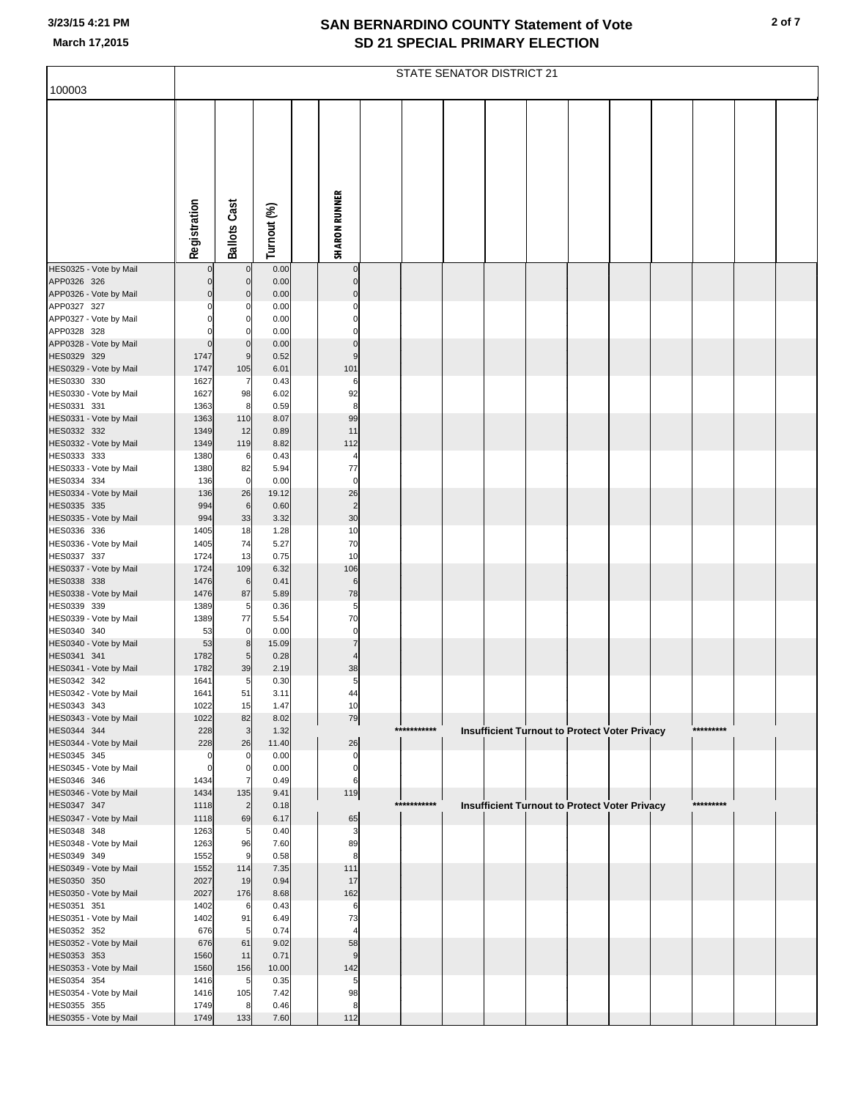|                                       | STATE SENATOR DISTRICT 21 |                      |               |                      |             |  |  |                                                      |  |  |  |           |  |  |
|---------------------------------------|---------------------------|----------------------|---------------|----------------------|-------------|--|--|------------------------------------------------------|--|--|--|-----------|--|--|
| 100003                                |                           |                      |               |                      |             |  |  |                                                      |  |  |  |           |  |  |
|                                       |                           |                      |               |                      |             |  |  |                                                      |  |  |  |           |  |  |
|                                       |                           |                      |               |                      |             |  |  |                                                      |  |  |  |           |  |  |
|                                       |                           |                      |               |                      |             |  |  |                                                      |  |  |  |           |  |  |
|                                       |                           |                      |               |                      |             |  |  |                                                      |  |  |  |           |  |  |
|                                       |                           |                      |               |                      |             |  |  |                                                      |  |  |  |           |  |  |
|                                       |                           |                      |               |                      |             |  |  |                                                      |  |  |  |           |  |  |
|                                       |                           |                      |               |                      |             |  |  |                                                      |  |  |  |           |  |  |
|                                       |                           |                      |               |                      |             |  |  |                                                      |  |  |  |           |  |  |
|                                       |                           |                      |               |                      |             |  |  |                                                      |  |  |  |           |  |  |
|                                       | Registration              | <b>Ballots Cast</b>  | Turnout (%)   | <b>SHARON RUNNER</b> |             |  |  |                                                      |  |  |  |           |  |  |
| HES0325 - Vote by Mail                | 0                         | $\mathbf 0$          | 0.00          | $\mathbf 0$          |             |  |  |                                                      |  |  |  |           |  |  |
| APP0326 326                           | 0                         | 0                    | 0.00          | $\mathbf 0$          |             |  |  |                                                      |  |  |  |           |  |  |
| APP0326 - Vote by Mail                | $\Omega$                  | 0                    | 0.00          | $\Omega$             |             |  |  |                                                      |  |  |  |           |  |  |
| APP0327 327<br>APP0327 - Vote by Mail | 0<br>0                    | 0<br>0               | 0.00<br>0.00  | 0<br>$\Omega$        |             |  |  |                                                      |  |  |  |           |  |  |
| APP0328 328                           | $\Omega$                  | $\Omega$             | 0.00          | $\mathbf 0$          |             |  |  |                                                      |  |  |  |           |  |  |
| APP0328 - Vote by Mail                | $\Omega$                  | $\mathbf 0$          | 0.00          | $\Omega$             |             |  |  |                                                      |  |  |  |           |  |  |
| HES0329 329                           | 1747                      | 9                    | 0.52          | 9                    |             |  |  |                                                      |  |  |  |           |  |  |
| HES0329 - Vote by Mail<br>HES0330 330 | 1747<br>1627              | 105<br>7             | 6.01<br>0.43  | 101<br>6             |             |  |  |                                                      |  |  |  |           |  |  |
| HES0330 - Vote by Mail                | 1627                      | 98                   | 6.02          | 92                   |             |  |  |                                                      |  |  |  |           |  |  |
| HES0331 331                           | 1363                      | 8                    | 0.59          | 8                    |             |  |  |                                                      |  |  |  |           |  |  |
| HES0331 - Vote by Mail<br>HES0332 332 | 1363<br>1349              | 110<br>12            | 8.07<br>0.89  | 99<br>11             |             |  |  |                                                      |  |  |  |           |  |  |
| HES0332 - Vote by Mail                | 1349                      | 119                  | 8.82          | 112                  |             |  |  |                                                      |  |  |  |           |  |  |
| HES0333 333                           | 1380                      | 6                    | 0.43          | $\overline{4}$       |             |  |  |                                                      |  |  |  |           |  |  |
| HES0333 - Vote by Mail                | 1380                      | 82                   | 5.94          | 77                   |             |  |  |                                                      |  |  |  |           |  |  |
| HES0334 334<br>HES0334 - Vote by Mail | 136<br>136                | $\mathbf 0$<br>26    | 0.00<br>19.12 | $\pmb{0}$<br>26      |             |  |  |                                                      |  |  |  |           |  |  |
| HES0335 335                           | 994                       | $\,6\,$              | 0.60          | $\overline{c}$       |             |  |  |                                                      |  |  |  |           |  |  |
| HES0335 - Vote by Mail                | 994                       | 33                   | 3.32          | 30                   |             |  |  |                                                      |  |  |  |           |  |  |
| HES0336 336                           | 1405                      | 18                   | 1.28          | 10                   |             |  |  |                                                      |  |  |  |           |  |  |
| HES0336 - Vote by Mail<br>HES0337 337 | 1405<br>1724              | 74<br>13             | 5.27<br>0.75  | 70<br>10             |             |  |  |                                                      |  |  |  |           |  |  |
| HES0337 - Vote by Mail                | 1724                      | 109                  | 6.32          | 106                  |             |  |  |                                                      |  |  |  |           |  |  |
| HES0338 338                           | 1476                      | $\,6$                | 0.41          | $\,6$                |             |  |  |                                                      |  |  |  |           |  |  |
| HES0338 - Vote by Mail                | 1476                      | 87                   | 5.89          | 78                   |             |  |  |                                                      |  |  |  |           |  |  |
| HES0339 339<br>HES0339 - Vote by Mail | 1389<br>1389              | 5<br>77              | 0.36<br>5.54  | 5<br>70              |             |  |  |                                                      |  |  |  |           |  |  |
| HES0340 340                           | 53                        | 0                    | 0.00          | $\pmb{0}$            |             |  |  |                                                      |  |  |  |           |  |  |
| HES0340 - Vote by Mail                | 53                        | 8                    | 15.09         | $\overline{7}$       |             |  |  |                                                      |  |  |  |           |  |  |
| HES0341 341                           | 1782                      | 5                    | 0.28          | $\overline{4}$       |             |  |  |                                                      |  |  |  |           |  |  |
| HES0341 - Vote by Mail<br>HES0342 342 | 1782<br>1641              | 39<br>5 <sub>5</sub> | 2.19<br>0.30  | 38<br>5              |             |  |  |                                                      |  |  |  |           |  |  |
| HES0342 - Vote by Mail                | 1641                      | 51                   | 3.11          | 44                   |             |  |  |                                                      |  |  |  |           |  |  |
| HES0343 343                           | 1022                      | 15                   | 1.47          | 10                   |             |  |  |                                                      |  |  |  |           |  |  |
| HES0343 - Vote by Mail<br>HES0344 344 | 1022                      | 82                   | 8.02          | 79                   | *********** |  |  |                                                      |  |  |  | ********* |  |  |
| HES0344 - Vote by Mail                | 228<br>228                | 3<br>26              | 1.32<br>11.40 | 26                   |             |  |  | <b>Insufficient Turnout to Protect Voter Privacy</b> |  |  |  |           |  |  |
| HES0345 345                           | $\mathbf 0$               | 0                    | 0.00          | $\pmb{0}$            |             |  |  |                                                      |  |  |  |           |  |  |
| HES0345 - Vote by Mail                | $\mathbf 0$               | 0                    | 0.00          | $\pmb{0}$            |             |  |  |                                                      |  |  |  |           |  |  |
| HES0346 346<br>HES0346 - Vote by Mail | 1434<br>1434              | 7<br>135             | 0.49<br>9.41  | 6<br>119             |             |  |  |                                                      |  |  |  |           |  |  |
| HES0347 347                           | 1118                      | $\overline{c}$       | 0.18          |                      | *********** |  |  | <b>Insufficient Turnout to Protect Voter Privacy</b> |  |  |  | ********* |  |  |
| HES0347 - Vote by Mail                | 1118                      | 69                   | 6.17          | 65                   |             |  |  |                                                      |  |  |  |           |  |  |
| HES0348 348                           | 1263                      | 5                    | 0.40          | 3                    |             |  |  |                                                      |  |  |  |           |  |  |
| HES0348 - Vote by Mail<br>HES0349 349 | 1263<br>1552              | 96<br>9              | 7.60<br>0.58  | 89<br>8              |             |  |  |                                                      |  |  |  |           |  |  |
| HES0349 - Vote by Mail                | 1552                      | 114                  | 7.35          | 111                  |             |  |  |                                                      |  |  |  |           |  |  |
| HES0350 350                           | 2027                      | 19                   | 0.94          | 17                   |             |  |  |                                                      |  |  |  |           |  |  |
| HES0350 - Vote by Mail                | 2027                      | 176                  | 8.68          | 162                  |             |  |  |                                                      |  |  |  |           |  |  |
| HES0351 351<br>HES0351 - Vote by Mail | 1402<br>1402              | 6<br>91              | 0.43<br>6.49  | 6<br>73              |             |  |  |                                                      |  |  |  |           |  |  |
| HES0352 352                           | 676                       | 5                    | 0.74          | $\overline{4}$       |             |  |  |                                                      |  |  |  |           |  |  |
| HES0352 - Vote by Mail                | 676                       | 61                   | 9.02          | 58                   |             |  |  |                                                      |  |  |  |           |  |  |
| HES0353 353<br>HES0353 - Vote by Mail | 1560<br>1560              | 11<br>156            | 0.71<br>10.00 | 9<br>142             |             |  |  |                                                      |  |  |  |           |  |  |
| HES0354 354                           | 1416                      | 5                    | 0.35          | 5                    |             |  |  |                                                      |  |  |  |           |  |  |
| HES0354 - Vote by Mail                | 1416                      | 105                  | 7.42          | 98                   |             |  |  |                                                      |  |  |  |           |  |  |
| HES0355 355                           | 1749                      | 8                    | 0.46          | 8                    |             |  |  |                                                      |  |  |  |           |  |  |
| HES0355 - Vote by Mail                | 1749                      | 133                  | 7.60          | 112                  |             |  |  |                                                      |  |  |  |           |  |  |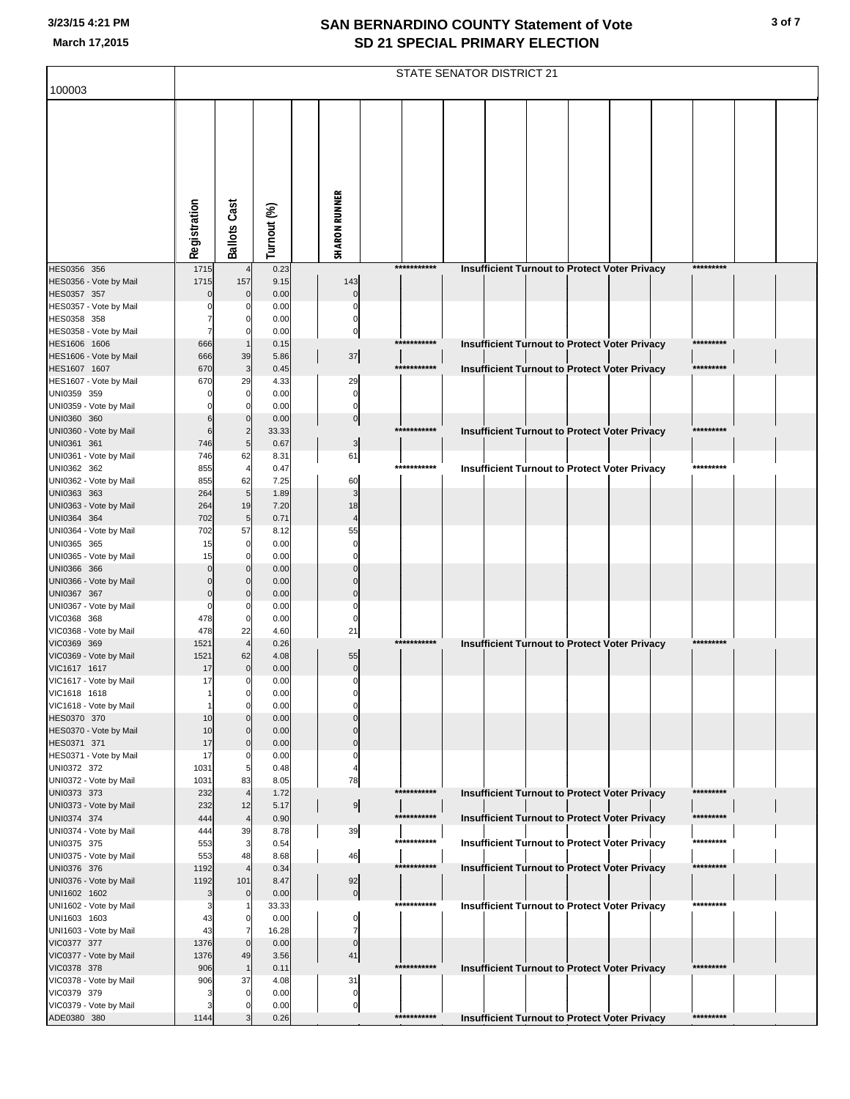| 100003<br><b>SHARON RUNNER</b><br>Registration<br><b>Ballots Cast</b><br>Turnout (%)<br>***********<br>*********<br>HES0356 356<br>1715<br>0.23<br>Insufficient Turnout to Protect Voter Privacy<br>$\overline{4}$<br>157<br>HES0356 - Vote by Mail<br>1715<br>9.15<br>143<br>HES0357 357<br>$\mathbf 0$<br>0.00<br>$\Omega$<br>C<br>HES0357 - Vote by Mail<br>0.00<br>C<br>HES0358 358<br>0.00<br>$\Omega$<br>C<br>HES0358 - Vote by Mail<br>0.00<br>$\mathbf 0$<br>0<br>***********<br>HES1606 1606<br>666<br>0.15<br><b>Insufficient Turnout to Protect Voter Privacy</b><br>666<br>$37\,$<br>HES1606 - Vote by Mail<br>39<br>5.86<br>3<br>***********<br>Insufficient Turnout to Protect Voter Privacy<br>*********<br>HES1607 1607<br>670<br>0.45<br>HES1607 - Vote by Mail<br>29<br>29<br>670<br>4.33<br>UNI0359 359<br>$\mathbf 0$<br>0.00<br>$\mathbf 0$<br>UNI0359 - Vote by Mail<br>0.00<br>$\mathbf 0$<br>$\Omega$<br>UNI0360 360<br>$\mathbf 0$<br>6<br>0.00<br>$\boldsymbol{0}$<br>***********<br>UNI0360 - Vote by Mail<br>$\overline{2}$<br>33.33<br>Insufficient Turnout to Protect Voter Privacy<br>6<br>*********<br>UNI0361 361<br>746<br>5<br>0.67<br>3<br>UNI0361 - Vote by Mail<br>746<br>62<br>61<br>8.31<br>***********<br>UNI0362 362<br>855<br>0.47<br><b>Insufficient Turnout to Protect Voter Privacy</b><br>*********<br>$\overline{4}$<br>UNI0362 - Vote by Mail<br>855<br>62<br>7.25<br>60<br>5<br>UNI0363 363<br>264<br>1.89<br>3<br>UNI0363 - Vote by Mail<br>264<br>19<br>7.20<br>18<br>UNI0364 364<br>702<br>5<br>0.71<br>$\overline{4}$<br>57<br>55<br>UNI0364 - Vote by Mail<br>702<br>8.12<br>UNI0365 365<br>$\mathbf 0$<br>0.00<br>15<br>$\mathbf 0$<br>UNI0365 - Vote by Mail<br>0.00<br>15<br>$\Omega$<br>C<br>UNI0366 366<br>0.00<br>$\Omega$<br>$\Omega$<br>UNI0366 - Vote by Mail<br>0.00<br>$\Omega$<br>$\Omega$<br>UNI0367 367<br>$\Omega$<br>$\Omega$<br>0.00<br>$\mathsf{C}$<br>UNI0367 - Vote by Mail<br>0.00<br>$\Omega$<br>0<br>C<br>VIC0368 368<br>478<br>$\mathbf 0$<br>0.00<br>C<br>22<br>21<br>VIC0368 - Vote by Mail<br>478<br>4.60<br>***********<br>VIC0369 369<br>1521<br>$\overline{4}$<br>0.26<br>Insufficient Turnout to Protect Voter Privacy<br>*********<br>VIC0369 - Vote by Mail<br>1521<br>62<br>55<br>4.08<br>VIC1617 1617<br>$\mathbf 0$<br>0.00<br>$\pmb{0}$<br>17<br>VIC1617 - Vote by Mail<br>17<br>0.00<br>$\mathbf 0$<br>$\mathbf 0$<br>VIC1618 1618<br>0.00<br>$\mathbf{0}$<br>VIC1618 - Vote by Mail<br>0.00<br>$\mathbf 0$<br>C<br>HES0370 370<br>10<br>0.00<br>$\Omega$<br>HES0370 - Vote by Mail<br>10<br>0.00<br>$\Omega$<br>HES0371 371<br>17<br>$\mathbf 0$<br>0.00<br>C<br>HES0371 - Vote by Mail<br>17<br>0.00<br>$\Omega$<br>C<br>UNI0372 372<br>5<br>0.48<br>1031<br>4<br>78<br>UNI0372 - Vote by Mail<br>1031<br>83<br>8.05<br>***********<br>*********<br>UNI0373 373<br>232<br>$\overline{4}$<br>1.72<br><b>Insufficient Turnout to Protect Voter Privacy</b><br>9<br>UNI0373 - Vote by Mail<br>232<br>12<br>5.17<br>UNI0374 374<br>***********<br>*********<br>$\overline{4}$<br>0.90<br>Insufficient Turnout to Protect Voter Privacy<br>444<br>UNI0374 - Vote by Mail<br>39<br>39<br>444<br>8.78<br>***********<br>UNI0375 375<br>3<br><b>Insufficient Turnout to Protect Voter Privacy</b><br>*********<br>553<br>0.54<br>UNI0375 - Vote by Mail<br>553<br>48<br>8.68<br>46<br>***********<br>UNI0376 376<br>Insufficient Turnout to Protect Voter Privacy<br>*********<br>1192<br>$\overline{4}$<br>0.34<br>UNI0376 - Vote by Mail<br>1192<br>101<br>8.47<br>92<br>UNI1602 1602<br>3<br>$\mathbf 0$<br>$\boldsymbol{0}$<br>0.00<br>***********<br>*********<br>UNI1602 - Vote by Mail<br>33.33<br>Insufficient Turnout to Protect Voter Privacy<br>3<br>UNI1603 1603<br>43<br>$\mathbf 0$<br>0.00<br>0<br>UNI1603 - Vote by Mail<br>43<br>16.28<br>$\overline{7}$<br>7<br>VIC0377 377<br>1376<br>$\mathbf 0$<br>0.00<br>$\mathbf 0$<br>VIC0377 - Vote by Mail<br>49<br>1376<br>3.56<br>41<br>VIC0378 378<br>***********<br>*********<br>906<br>Insufficient Turnout to Protect Voter Privacy<br>0.11<br>VIC0378 - Vote by Mail<br>37<br>31<br>906<br>4.08<br>VIC0379 379<br>$\Omega$<br>0.00<br>0<br>VIC0379 - Vote by Mail<br>0.00<br>$\mathbf 0$<br>ADE0380 380<br>***********<br>*********<br>0.26<br>1144<br><b>Insufficient Turnout to Protect Voter Privacy</b> | STATE SENATOR DISTRICT 21 |  |  |  |  |  |  |  |  |  |  |  |
|----------------------------------------------------------------------------------------------------------------------------------------------------------------------------------------------------------------------------------------------------------------------------------------------------------------------------------------------------------------------------------------------------------------------------------------------------------------------------------------------------------------------------------------------------------------------------------------------------------------------------------------------------------------------------------------------------------------------------------------------------------------------------------------------------------------------------------------------------------------------------------------------------------------------------------------------------------------------------------------------------------------------------------------------------------------------------------------------------------------------------------------------------------------------------------------------------------------------------------------------------------------------------------------------------------------------------------------------------------------------------------------------------------------------------------------------------------------------------------------------------------------------------------------------------------------------------------------------------------------------------------------------------------------------------------------------------------------------------------------------------------------------------------------------------------------------------------------------------------------------------------------------------------------------------------------------------------------------------------------------------------------------------------------------------------------------------------------------------------------------------------------------------------------------------------------------------------------------------------------------------------------------------------------------------------------------------------------------------------------------------------------------------------------------------------------------------------------------------------------------------------------------------------------------------------------------------------------------------------------------------------------------------------------------------------------------------------------------------------------------------------------------------------------------------------------------------------------------------------------------------------------------------------------------------------------------------------------------------------------------------------------------------------------------------------------------------------------------------------------------------------------------------------------------------------------------------------------------------------------------------------------------------------------------------------------------------------------------------------------------------------------------------------------------------------------------------------------------------------------------------------------------------------------------------------------------------------------------------------------------------------------------------------------------------------------------------------------------------------------------------------------------------------------------------------------------------------------------------------------------------------------------------------------------------------------------------------------------------------------------------------------------------------------------------------------------------------------------------------------------------------------------------------------------------------------------------------------------------------------------------------------------------------------------------------------------------------------------------------------------|---------------------------|--|--|--|--|--|--|--|--|--|--|--|
|                                                                                                                                                                                                                                                                                                                                                                                                                                                                                                                                                                                                                                                                                                                                                                                                                                                                                                                                                                                                                                                                                                                                                                                                                                                                                                                                                                                                                                                                                                                                                                                                                                                                                                                                                                                                                                                                                                                                                                                                                                                                                                                                                                                                                                                                                                                                                                                                                                                                                                                                                                                                                                                                                                                                                                                                                                                                                                                                                                                                                                                                                                                                                                                                                                                                                                                                                                                                                                                                                                                                                                                                                                                                                                                                                                                                                                                                                                                                                                                                                                                                                                                                                                                                                                                                                                                                                                      |                           |  |  |  |  |  |  |  |  |  |  |  |
|                                                                                                                                                                                                                                                                                                                                                                                                                                                                                                                                                                                                                                                                                                                                                                                                                                                                                                                                                                                                                                                                                                                                                                                                                                                                                                                                                                                                                                                                                                                                                                                                                                                                                                                                                                                                                                                                                                                                                                                                                                                                                                                                                                                                                                                                                                                                                                                                                                                                                                                                                                                                                                                                                                                                                                                                                                                                                                                                                                                                                                                                                                                                                                                                                                                                                                                                                                                                                                                                                                                                                                                                                                                                                                                                                                                                                                                                                                                                                                                                                                                                                                                                                                                                                                                                                                                                                                      |                           |  |  |  |  |  |  |  |  |  |  |  |
|                                                                                                                                                                                                                                                                                                                                                                                                                                                                                                                                                                                                                                                                                                                                                                                                                                                                                                                                                                                                                                                                                                                                                                                                                                                                                                                                                                                                                                                                                                                                                                                                                                                                                                                                                                                                                                                                                                                                                                                                                                                                                                                                                                                                                                                                                                                                                                                                                                                                                                                                                                                                                                                                                                                                                                                                                                                                                                                                                                                                                                                                                                                                                                                                                                                                                                                                                                                                                                                                                                                                                                                                                                                                                                                                                                                                                                                                                                                                                                                                                                                                                                                                                                                                                                                                                                                                                                      |                           |  |  |  |  |  |  |  |  |  |  |  |
|                                                                                                                                                                                                                                                                                                                                                                                                                                                                                                                                                                                                                                                                                                                                                                                                                                                                                                                                                                                                                                                                                                                                                                                                                                                                                                                                                                                                                                                                                                                                                                                                                                                                                                                                                                                                                                                                                                                                                                                                                                                                                                                                                                                                                                                                                                                                                                                                                                                                                                                                                                                                                                                                                                                                                                                                                                                                                                                                                                                                                                                                                                                                                                                                                                                                                                                                                                                                                                                                                                                                                                                                                                                                                                                                                                                                                                                                                                                                                                                                                                                                                                                                                                                                                                                                                                                                                                      |                           |  |  |  |  |  |  |  |  |  |  |  |
|                                                                                                                                                                                                                                                                                                                                                                                                                                                                                                                                                                                                                                                                                                                                                                                                                                                                                                                                                                                                                                                                                                                                                                                                                                                                                                                                                                                                                                                                                                                                                                                                                                                                                                                                                                                                                                                                                                                                                                                                                                                                                                                                                                                                                                                                                                                                                                                                                                                                                                                                                                                                                                                                                                                                                                                                                                                                                                                                                                                                                                                                                                                                                                                                                                                                                                                                                                                                                                                                                                                                                                                                                                                                                                                                                                                                                                                                                                                                                                                                                                                                                                                                                                                                                                                                                                                                                                      |                           |  |  |  |  |  |  |  |  |  |  |  |
|                                                                                                                                                                                                                                                                                                                                                                                                                                                                                                                                                                                                                                                                                                                                                                                                                                                                                                                                                                                                                                                                                                                                                                                                                                                                                                                                                                                                                                                                                                                                                                                                                                                                                                                                                                                                                                                                                                                                                                                                                                                                                                                                                                                                                                                                                                                                                                                                                                                                                                                                                                                                                                                                                                                                                                                                                                                                                                                                                                                                                                                                                                                                                                                                                                                                                                                                                                                                                                                                                                                                                                                                                                                                                                                                                                                                                                                                                                                                                                                                                                                                                                                                                                                                                                                                                                                                                                      |                           |  |  |  |  |  |  |  |  |  |  |  |
|                                                                                                                                                                                                                                                                                                                                                                                                                                                                                                                                                                                                                                                                                                                                                                                                                                                                                                                                                                                                                                                                                                                                                                                                                                                                                                                                                                                                                                                                                                                                                                                                                                                                                                                                                                                                                                                                                                                                                                                                                                                                                                                                                                                                                                                                                                                                                                                                                                                                                                                                                                                                                                                                                                                                                                                                                                                                                                                                                                                                                                                                                                                                                                                                                                                                                                                                                                                                                                                                                                                                                                                                                                                                                                                                                                                                                                                                                                                                                                                                                                                                                                                                                                                                                                                                                                                                                                      |                           |  |  |  |  |  |  |  |  |  |  |  |
|                                                                                                                                                                                                                                                                                                                                                                                                                                                                                                                                                                                                                                                                                                                                                                                                                                                                                                                                                                                                                                                                                                                                                                                                                                                                                                                                                                                                                                                                                                                                                                                                                                                                                                                                                                                                                                                                                                                                                                                                                                                                                                                                                                                                                                                                                                                                                                                                                                                                                                                                                                                                                                                                                                                                                                                                                                                                                                                                                                                                                                                                                                                                                                                                                                                                                                                                                                                                                                                                                                                                                                                                                                                                                                                                                                                                                                                                                                                                                                                                                                                                                                                                                                                                                                                                                                                                                                      |                           |  |  |  |  |  |  |  |  |  |  |  |
|                                                                                                                                                                                                                                                                                                                                                                                                                                                                                                                                                                                                                                                                                                                                                                                                                                                                                                                                                                                                                                                                                                                                                                                                                                                                                                                                                                                                                                                                                                                                                                                                                                                                                                                                                                                                                                                                                                                                                                                                                                                                                                                                                                                                                                                                                                                                                                                                                                                                                                                                                                                                                                                                                                                                                                                                                                                                                                                                                                                                                                                                                                                                                                                                                                                                                                                                                                                                                                                                                                                                                                                                                                                                                                                                                                                                                                                                                                                                                                                                                                                                                                                                                                                                                                                                                                                                                                      |                           |  |  |  |  |  |  |  |  |  |  |  |
|                                                                                                                                                                                                                                                                                                                                                                                                                                                                                                                                                                                                                                                                                                                                                                                                                                                                                                                                                                                                                                                                                                                                                                                                                                                                                                                                                                                                                                                                                                                                                                                                                                                                                                                                                                                                                                                                                                                                                                                                                                                                                                                                                                                                                                                                                                                                                                                                                                                                                                                                                                                                                                                                                                                                                                                                                                                                                                                                                                                                                                                                                                                                                                                                                                                                                                                                                                                                                                                                                                                                                                                                                                                                                                                                                                                                                                                                                                                                                                                                                                                                                                                                                                                                                                                                                                                                                                      |                           |  |  |  |  |  |  |  |  |  |  |  |
|                                                                                                                                                                                                                                                                                                                                                                                                                                                                                                                                                                                                                                                                                                                                                                                                                                                                                                                                                                                                                                                                                                                                                                                                                                                                                                                                                                                                                                                                                                                                                                                                                                                                                                                                                                                                                                                                                                                                                                                                                                                                                                                                                                                                                                                                                                                                                                                                                                                                                                                                                                                                                                                                                                                                                                                                                                                                                                                                                                                                                                                                                                                                                                                                                                                                                                                                                                                                                                                                                                                                                                                                                                                                                                                                                                                                                                                                                                                                                                                                                                                                                                                                                                                                                                                                                                                                                                      |                           |  |  |  |  |  |  |  |  |  |  |  |
|                                                                                                                                                                                                                                                                                                                                                                                                                                                                                                                                                                                                                                                                                                                                                                                                                                                                                                                                                                                                                                                                                                                                                                                                                                                                                                                                                                                                                                                                                                                                                                                                                                                                                                                                                                                                                                                                                                                                                                                                                                                                                                                                                                                                                                                                                                                                                                                                                                                                                                                                                                                                                                                                                                                                                                                                                                                                                                                                                                                                                                                                                                                                                                                                                                                                                                                                                                                                                                                                                                                                                                                                                                                                                                                                                                                                                                                                                                                                                                                                                                                                                                                                                                                                                                                                                                                                                                      |                           |  |  |  |  |  |  |  |  |  |  |  |
|                                                                                                                                                                                                                                                                                                                                                                                                                                                                                                                                                                                                                                                                                                                                                                                                                                                                                                                                                                                                                                                                                                                                                                                                                                                                                                                                                                                                                                                                                                                                                                                                                                                                                                                                                                                                                                                                                                                                                                                                                                                                                                                                                                                                                                                                                                                                                                                                                                                                                                                                                                                                                                                                                                                                                                                                                                                                                                                                                                                                                                                                                                                                                                                                                                                                                                                                                                                                                                                                                                                                                                                                                                                                                                                                                                                                                                                                                                                                                                                                                                                                                                                                                                                                                                                                                                                                                                      |                           |  |  |  |  |  |  |  |  |  |  |  |
|                                                                                                                                                                                                                                                                                                                                                                                                                                                                                                                                                                                                                                                                                                                                                                                                                                                                                                                                                                                                                                                                                                                                                                                                                                                                                                                                                                                                                                                                                                                                                                                                                                                                                                                                                                                                                                                                                                                                                                                                                                                                                                                                                                                                                                                                                                                                                                                                                                                                                                                                                                                                                                                                                                                                                                                                                                                                                                                                                                                                                                                                                                                                                                                                                                                                                                                                                                                                                                                                                                                                                                                                                                                                                                                                                                                                                                                                                                                                                                                                                                                                                                                                                                                                                                                                                                                                                                      |                           |  |  |  |  |  |  |  |  |  |  |  |
|                                                                                                                                                                                                                                                                                                                                                                                                                                                                                                                                                                                                                                                                                                                                                                                                                                                                                                                                                                                                                                                                                                                                                                                                                                                                                                                                                                                                                                                                                                                                                                                                                                                                                                                                                                                                                                                                                                                                                                                                                                                                                                                                                                                                                                                                                                                                                                                                                                                                                                                                                                                                                                                                                                                                                                                                                                                                                                                                                                                                                                                                                                                                                                                                                                                                                                                                                                                                                                                                                                                                                                                                                                                                                                                                                                                                                                                                                                                                                                                                                                                                                                                                                                                                                                                                                                                                                                      |                           |  |  |  |  |  |  |  |  |  |  |  |
|                                                                                                                                                                                                                                                                                                                                                                                                                                                                                                                                                                                                                                                                                                                                                                                                                                                                                                                                                                                                                                                                                                                                                                                                                                                                                                                                                                                                                                                                                                                                                                                                                                                                                                                                                                                                                                                                                                                                                                                                                                                                                                                                                                                                                                                                                                                                                                                                                                                                                                                                                                                                                                                                                                                                                                                                                                                                                                                                                                                                                                                                                                                                                                                                                                                                                                                                                                                                                                                                                                                                                                                                                                                                                                                                                                                                                                                                                                                                                                                                                                                                                                                                                                                                                                                                                                                                                                      |                           |  |  |  |  |  |  |  |  |  |  |  |
|                                                                                                                                                                                                                                                                                                                                                                                                                                                                                                                                                                                                                                                                                                                                                                                                                                                                                                                                                                                                                                                                                                                                                                                                                                                                                                                                                                                                                                                                                                                                                                                                                                                                                                                                                                                                                                                                                                                                                                                                                                                                                                                                                                                                                                                                                                                                                                                                                                                                                                                                                                                                                                                                                                                                                                                                                                                                                                                                                                                                                                                                                                                                                                                                                                                                                                                                                                                                                                                                                                                                                                                                                                                                                                                                                                                                                                                                                                                                                                                                                                                                                                                                                                                                                                                                                                                                                                      |                           |  |  |  |  |  |  |  |  |  |  |  |
|                                                                                                                                                                                                                                                                                                                                                                                                                                                                                                                                                                                                                                                                                                                                                                                                                                                                                                                                                                                                                                                                                                                                                                                                                                                                                                                                                                                                                                                                                                                                                                                                                                                                                                                                                                                                                                                                                                                                                                                                                                                                                                                                                                                                                                                                                                                                                                                                                                                                                                                                                                                                                                                                                                                                                                                                                                                                                                                                                                                                                                                                                                                                                                                                                                                                                                                                                                                                                                                                                                                                                                                                                                                                                                                                                                                                                                                                                                                                                                                                                                                                                                                                                                                                                                                                                                                                                                      |                           |  |  |  |  |  |  |  |  |  |  |  |
|                                                                                                                                                                                                                                                                                                                                                                                                                                                                                                                                                                                                                                                                                                                                                                                                                                                                                                                                                                                                                                                                                                                                                                                                                                                                                                                                                                                                                                                                                                                                                                                                                                                                                                                                                                                                                                                                                                                                                                                                                                                                                                                                                                                                                                                                                                                                                                                                                                                                                                                                                                                                                                                                                                                                                                                                                                                                                                                                                                                                                                                                                                                                                                                                                                                                                                                                                                                                                                                                                                                                                                                                                                                                                                                                                                                                                                                                                                                                                                                                                                                                                                                                                                                                                                                                                                                                                                      |                           |  |  |  |  |  |  |  |  |  |  |  |
|                                                                                                                                                                                                                                                                                                                                                                                                                                                                                                                                                                                                                                                                                                                                                                                                                                                                                                                                                                                                                                                                                                                                                                                                                                                                                                                                                                                                                                                                                                                                                                                                                                                                                                                                                                                                                                                                                                                                                                                                                                                                                                                                                                                                                                                                                                                                                                                                                                                                                                                                                                                                                                                                                                                                                                                                                                                                                                                                                                                                                                                                                                                                                                                                                                                                                                                                                                                                                                                                                                                                                                                                                                                                                                                                                                                                                                                                                                                                                                                                                                                                                                                                                                                                                                                                                                                                                                      |                           |  |  |  |  |  |  |  |  |  |  |  |
|                                                                                                                                                                                                                                                                                                                                                                                                                                                                                                                                                                                                                                                                                                                                                                                                                                                                                                                                                                                                                                                                                                                                                                                                                                                                                                                                                                                                                                                                                                                                                                                                                                                                                                                                                                                                                                                                                                                                                                                                                                                                                                                                                                                                                                                                                                                                                                                                                                                                                                                                                                                                                                                                                                                                                                                                                                                                                                                                                                                                                                                                                                                                                                                                                                                                                                                                                                                                                                                                                                                                                                                                                                                                                                                                                                                                                                                                                                                                                                                                                                                                                                                                                                                                                                                                                                                                                                      |                           |  |  |  |  |  |  |  |  |  |  |  |
|                                                                                                                                                                                                                                                                                                                                                                                                                                                                                                                                                                                                                                                                                                                                                                                                                                                                                                                                                                                                                                                                                                                                                                                                                                                                                                                                                                                                                                                                                                                                                                                                                                                                                                                                                                                                                                                                                                                                                                                                                                                                                                                                                                                                                                                                                                                                                                                                                                                                                                                                                                                                                                                                                                                                                                                                                                                                                                                                                                                                                                                                                                                                                                                                                                                                                                                                                                                                                                                                                                                                                                                                                                                                                                                                                                                                                                                                                                                                                                                                                                                                                                                                                                                                                                                                                                                                                                      |                           |  |  |  |  |  |  |  |  |  |  |  |
|                                                                                                                                                                                                                                                                                                                                                                                                                                                                                                                                                                                                                                                                                                                                                                                                                                                                                                                                                                                                                                                                                                                                                                                                                                                                                                                                                                                                                                                                                                                                                                                                                                                                                                                                                                                                                                                                                                                                                                                                                                                                                                                                                                                                                                                                                                                                                                                                                                                                                                                                                                                                                                                                                                                                                                                                                                                                                                                                                                                                                                                                                                                                                                                                                                                                                                                                                                                                                                                                                                                                                                                                                                                                                                                                                                                                                                                                                                                                                                                                                                                                                                                                                                                                                                                                                                                                                                      |                           |  |  |  |  |  |  |  |  |  |  |  |
|                                                                                                                                                                                                                                                                                                                                                                                                                                                                                                                                                                                                                                                                                                                                                                                                                                                                                                                                                                                                                                                                                                                                                                                                                                                                                                                                                                                                                                                                                                                                                                                                                                                                                                                                                                                                                                                                                                                                                                                                                                                                                                                                                                                                                                                                                                                                                                                                                                                                                                                                                                                                                                                                                                                                                                                                                                                                                                                                                                                                                                                                                                                                                                                                                                                                                                                                                                                                                                                                                                                                                                                                                                                                                                                                                                                                                                                                                                                                                                                                                                                                                                                                                                                                                                                                                                                                                                      |                           |  |  |  |  |  |  |  |  |  |  |  |
|                                                                                                                                                                                                                                                                                                                                                                                                                                                                                                                                                                                                                                                                                                                                                                                                                                                                                                                                                                                                                                                                                                                                                                                                                                                                                                                                                                                                                                                                                                                                                                                                                                                                                                                                                                                                                                                                                                                                                                                                                                                                                                                                                                                                                                                                                                                                                                                                                                                                                                                                                                                                                                                                                                                                                                                                                                                                                                                                                                                                                                                                                                                                                                                                                                                                                                                                                                                                                                                                                                                                                                                                                                                                                                                                                                                                                                                                                                                                                                                                                                                                                                                                                                                                                                                                                                                                                                      |                           |  |  |  |  |  |  |  |  |  |  |  |
|                                                                                                                                                                                                                                                                                                                                                                                                                                                                                                                                                                                                                                                                                                                                                                                                                                                                                                                                                                                                                                                                                                                                                                                                                                                                                                                                                                                                                                                                                                                                                                                                                                                                                                                                                                                                                                                                                                                                                                                                                                                                                                                                                                                                                                                                                                                                                                                                                                                                                                                                                                                                                                                                                                                                                                                                                                                                                                                                                                                                                                                                                                                                                                                                                                                                                                                                                                                                                                                                                                                                                                                                                                                                                                                                                                                                                                                                                                                                                                                                                                                                                                                                                                                                                                                                                                                                                                      |                           |  |  |  |  |  |  |  |  |  |  |  |
|                                                                                                                                                                                                                                                                                                                                                                                                                                                                                                                                                                                                                                                                                                                                                                                                                                                                                                                                                                                                                                                                                                                                                                                                                                                                                                                                                                                                                                                                                                                                                                                                                                                                                                                                                                                                                                                                                                                                                                                                                                                                                                                                                                                                                                                                                                                                                                                                                                                                                                                                                                                                                                                                                                                                                                                                                                                                                                                                                                                                                                                                                                                                                                                                                                                                                                                                                                                                                                                                                                                                                                                                                                                                                                                                                                                                                                                                                                                                                                                                                                                                                                                                                                                                                                                                                                                                                                      |                           |  |  |  |  |  |  |  |  |  |  |  |
|                                                                                                                                                                                                                                                                                                                                                                                                                                                                                                                                                                                                                                                                                                                                                                                                                                                                                                                                                                                                                                                                                                                                                                                                                                                                                                                                                                                                                                                                                                                                                                                                                                                                                                                                                                                                                                                                                                                                                                                                                                                                                                                                                                                                                                                                                                                                                                                                                                                                                                                                                                                                                                                                                                                                                                                                                                                                                                                                                                                                                                                                                                                                                                                                                                                                                                                                                                                                                                                                                                                                                                                                                                                                                                                                                                                                                                                                                                                                                                                                                                                                                                                                                                                                                                                                                                                                                                      |                           |  |  |  |  |  |  |  |  |  |  |  |
|                                                                                                                                                                                                                                                                                                                                                                                                                                                                                                                                                                                                                                                                                                                                                                                                                                                                                                                                                                                                                                                                                                                                                                                                                                                                                                                                                                                                                                                                                                                                                                                                                                                                                                                                                                                                                                                                                                                                                                                                                                                                                                                                                                                                                                                                                                                                                                                                                                                                                                                                                                                                                                                                                                                                                                                                                                                                                                                                                                                                                                                                                                                                                                                                                                                                                                                                                                                                                                                                                                                                                                                                                                                                                                                                                                                                                                                                                                                                                                                                                                                                                                                                                                                                                                                                                                                                                                      |                           |  |  |  |  |  |  |  |  |  |  |  |
|                                                                                                                                                                                                                                                                                                                                                                                                                                                                                                                                                                                                                                                                                                                                                                                                                                                                                                                                                                                                                                                                                                                                                                                                                                                                                                                                                                                                                                                                                                                                                                                                                                                                                                                                                                                                                                                                                                                                                                                                                                                                                                                                                                                                                                                                                                                                                                                                                                                                                                                                                                                                                                                                                                                                                                                                                                                                                                                                                                                                                                                                                                                                                                                                                                                                                                                                                                                                                                                                                                                                                                                                                                                                                                                                                                                                                                                                                                                                                                                                                                                                                                                                                                                                                                                                                                                                                                      |                           |  |  |  |  |  |  |  |  |  |  |  |
|                                                                                                                                                                                                                                                                                                                                                                                                                                                                                                                                                                                                                                                                                                                                                                                                                                                                                                                                                                                                                                                                                                                                                                                                                                                                                                                                                                                                                                                                                                                                                                                                                                                                                                                                                                                                                                                                                                                                                                                                                                                                                                                                                                                                                                                                                                                                                                                                                                                                                                                                                                                                                                                                                                                                                                                                                                                                                                                                                                                                                                                                                                                                                                                                                                                                                                                                                                                                                                                                                                                                                                                                                                                                                                                                                                                                                                                                                                                                                                                                                                                                                                                                                                                                                                                                                                                                                                      |                           |  |  |  |  |  |  |  |  |  |  |  |
|                                                                                                                                                                                                                                                                                                                                                                                                                                                                                                                                                                                                                                                                                                                                                                                                                                                                                                                                                                                                                                                                                                                                                                                                                                                                                                                                                                                                                                                                                                                                                                                                                                                                                                                                                                                                                                                                                                                                                                                                                                                                                                                                                                                                                                                                                                                                                                                                                                                                                                                                                                                                                                                                                                                                                                                                                                                                                                                                                                                                                                                                                                                                                                                                                                                                                                                                                                                                                                                                                                                                                                                                                                                                                                                                                                                                                                                                                                                                                                                                                                                                                                                                                                                                                                                                                                                                                                      |                           |  |  |  |  |  |  |  |  |  |  |  |
|                                                                                                                                                                                                                                                                                                                                                                                                                                                                                                                                                                                                                                                                                                                                                                                                                                                                                                                                                                                                                                                                                                                                                                                                                                                                                                                                                                                                                                                                                                                                                                                                                                                                                                                                                                                                                                                                                                                                                                                                                                                                                                                                                                                                                                                                                                                                                                                                                                                                                                                                                                                                                                                                                                                                                                                                                                                                                                                                                                                                                                                                                                                                                                                                                                                                                                                                                                                                                                                                                                                                                                                                                                                                                                                                                                                                                                                                                                                                                                                                                                                                                                                                                                                                                                                                                                                                                                      |                           |  |  |  |  |  |  |  |  |  |  |  |
|                                                                                                                                                                                                                                                                                                                                                                                                                                                                                                                                                                                                                                                                                                                                                                                                                                                                                                                                                                                                                                                                                                                                                                                                                                                                                                                                                                                                                                                                                                                                                                                                                                                                                                                                                                                                                                                                                                                                                                                                                                                                                                                                                                                                                                                                                                                                                                                                                                                                                                                                                                                                                                                                                                                                                                                                                                                                                                                                                                                                                                                                                                                                                                                                                                                                                                                                                                                                                                                                                                                                                                                                                                                                                                                                                                                                                                                                                                                                                                                                                                                                                                                                                                                                                                                                                                                                                                      |                           |  |  |  |  |  |  |  |  |  |  |  |
|                                                                                                                                                                                                                                                                                                                                                                                                                                                                                                                                                                                                                                                                                                                                                                                                                                                                                                                                                                                                                                                                                                                                                                                                                                                                                                                                                                                                                                                                                                                                                                                                                                                                                                                                                                                                                                                                                                                                                                                                                                                                                                                                                                                                                                                                                                                                                                                                                                                                                                                                                                                                                                                                                                                                                                                                                                                                                                                                                                                                                                                                                                                                                                                                                                                                                                                                                                                                                                                                                                                                                                                                                                                                                                                                                                                                                                                                                                                                                                                                                                                                                                                                                                                                                                                                                                                                                                      |                           |  |  |  |  |  |  |  |  |  |  |  |
|                                                                                                                                                                                                                                                                                                                                                                                                                                                                                                                                                                                                                                                                                                                                                                                                                                                                                                                                                                                                                                                                                                                                                                                                                                                                                                                                                                                                                                                                                                                                                                                                                                                                                                                                                                                                                                                                                                                                                                                                                                                                                                                                                                                                                                                                                                                                                                                                                                                                                                                                                                                                                                                                                                                                                                                                                                                                                                                                                                                                                                                                                                                                                                                                                                                                                                                                                                                                                                                                                                                                                                                                                                                                                                                                                                                                                                                                                                                                                                                                                                                                                                                                                                                                                                                                                                                                                                      |                           |  |  |  |  |  |  |  |  |  |  |  |
|                                                                                                                                                                                                                                                                                                                                                                                                                                                                                                                                                                                                                                                                                                                                                                                                                                                                                                                                                                                                                                                                                                                                                                                                                                                                                                                                                                                                                                                                                                                                                                                                                                                                                                                                                                                                                                                                                                                                                                                                                                                                                                                                                                                                                                                                                                                                                                                                                                                                                                                                                                                                                                                                                                                                                                                                                                                                                                                                                                                                                                                                                                                                                                                                                                                                                                                                                                                                                                                                                                                                                                                                                                                                                                                                                                                                                                                                                                                                                                                                                                                                                                                                                                                                                                                                                                                                                                      |                           |  |  |  |  |  |  |  |  |  |  |  |
|                                                                                                                                                                                                                                                                                                                                                                                                                                                                                                                                                                                                                                                                                                                                                                                                                                                                                                                                                                                                                                                                                                                                                                                                                                                                                                                                                                                                                                                                                                                                                                                                                                                                                                                                                                                                                                                                                                                                                                                                                                                                                                                                                                                                                                                                                                                                                                                                                                                                                                                                                                                                                                                                                                                                                                                                                                                                                                                                                                                                                                                                                                                                                                                                                                                                                                                                                                                                                                                                                                                                                                                                                                                                                                                                                                                                                                                                                                                                                                                                                                                                                                                                                                                                                                                                                                                                                                      |                           |  |  |  |  |  |  |  |  |  |  |  |
|                                                                                                                                                                                                                                                                                                                                                                                                                                                                                                                                                                                                                                                                                                                                                                                                                                                                                                                                                                                                                                                                                                                                                                                                                                                                                                                                                                                                                                                                                                                                                                                                                                                                                                                                                                                                                                                                                                                                                                                                                                                                                                                                                                                                                                                                                                                                                                                                                                                                                                                                                                                                                                                                                                                                                                                                                                                                                                                                                                                                                                                                                                                                                                                                                                                                                                                                                                                                                                                                                                                                                                                                                                                                                                                                                                                                                                                                                                                                                                                                                                                                                                                                                                                                                                                                                                                                                                      |                           |  |  |  |  |  |  |  |  |  |  |  |
|                                                                                                                                                                                                                                                                                                                                                                                                                                                                                                                                                                                                                                                                                                                                                                                                                                                                                                                                                                                                                                                                                                                                                                                                                                                                                                                                                                                                                                                                                                                                                                                                                                                                                                                                                                                                                                                                                                                                                                                                                                                                                                                                                                                                                                                                                                                                                                                                                                                                                                                                                                                                                                                                                                                                                                                                                                                                                                                                                                                                                                                                                                                                                                                                                                                                                                                                                                                                                                                                                                                                                                                                                                                                                                                                                                                                                                                                                                                                                                                                                                                                                                                                                                                                                                                                                                                                                                      |                           |  |  |  |  |  |  |  |  |  |  |  |
|                                                                                                                                                                                                                                                                                                                                                                                                                                                                                                                                                                                                                                                                                                                                                                                                                                                                                                                                                                                                                                                                                                                                                                                                                                                                                                                                                                                                                                                                                                                                                                                                                                                                                                                                                                                                                                                                                                                                                                                                                                                                                                                                                                                                                                                                                                                                                                                                                                                                                                                                                                                                                                                                                                                                                                                                                                                                                                                                                                                                                                                                                                                                                                                                                                                                                                                                                                                                                                                                                                                                                                                                                                                                                                                                                                                                                                                                                                                                                                                                                                                                                                                                                                                                                                                                                                                                                                      |                           |  |  |  |  |  |  |  |  |  |  |  |
|                                                                                                                                                                                                                                                                                                                                                                                                                                                                                                                                                                                                                                                                                                                                                                                                                                                                                                                                                                                                                                                                                                                                                                                                                                                                                                                                                                                                                                                                                                                                                                                                                                                                                                                                                                                                                                                                                                                                                                                                                                                                                                                                                                                                                                                                                                                                                                                                                                                                                                                                                                                                                                                                                                                                                                                                                                                                                                                                                                                                                                                                                                                                                                                                                                                                                                                                                                                                                                                                                                                                                                                                                                                                                                                                                                                                                                                                                                                                                                                                                                                                                                                                                                                                                                                                                                                                                                      |                           |  |  |  |  |  |  |  |  |  |  |  |
|                                                                                                                                                                                                                                                                                                                                                                                                                                                                                                                                                                                                                                                                                                                                                                                                                                                                                                                                                                                                                                                                                                                                                                                                                                                                                                                                                                                                                                                                                                                                                                                                                                                                                                                                                                                                                                                                                                                                                                                                                                                                                                                                                                                                                                                                                                                                                                                                                                                                                                                                                                                                                                                                                                                                                                                                                                                                                                                                                                                                                                                                                                                                                                                                                                                                                                                                                                                                                                                                                                                                                                                                                                                                                                                                                                                                                                                                                                                                                                                                                                                                                                                                                                                                                                                                                                                                                                      |                           |  |  |  |  |  |  |  |  |  |  |  |
|                                                                                                                                                                                                                                                                                                                                                                                                                                                                                                                                                                                                                                                                                                                                                                                                                                                                                                                                                                                                                                                                                                                                                                                                                                                                                                                                                                                                                                                                                                                                                                                                                                                                                                                                                                                                                                                                                                                                                                                                                                                                                                                                                                                                                                                                                                                                                                                                                                                                                                                                                                                                                                                                                                                                                                                                                                                                                                                                                                                                                                                                                                                                                                                                                                                                                                                                                                                                                                                                                                                                                                                                                                                                                                                                                                                                                                                                                                                                                                                                                                                                                                                                                                                                                                                                                                                                                                      |                           |  |  |  |  |  |  |  |  |  |  |  |
|                                                                                                                                                                                                                                                                                                                                                                                                                                                                                                                                                                                                                                                                                                                                                                                                                                                                                                                                                                                                                                                                                                                                                                                                                                                                                                                                                                                                                                                                                                                                                                                                                                                                                                                                                                                                                                                                                                                                                                                                                                                                                                                                                                                                                                                                                                                                                                                                                                                                                                                                                                                                                                                                                                                                                                                                                                                                                                                                                                                                                                                                                                                                                                                                                                                                                                                                                                                                                                                                                                                                                                                                                                                                                                                                                                                                                                                                                                                                                                                                                                                                                                                                                                                                                                                                                                                                                                      |                           |  |  |  |  |  |  |  |  |  |  |  |
|                                                                                                                                                                                                                                                                                                                                                                                                                                                                                                                                                                                                                                                                                                                                                                                                                                                                                                                                                                                                                                                                                                                                                                                                                                                                                                                                                                                                                                                                                                                                                                                                                                                                                                                                                                                                                                                                                                                                                                                                                                                                                                                                                                                                                                                                                                                                                                                                                                                                                                                                                                                                                                                                                                                                                                                                                                                                                                                                                                                                                                                                                                                                                                                                                                                                                                                                                                                                                                                                                                                                                                                                                                                                                                                                                                                                                                                                                                                                                                                                                                                                                                                                                                                                                                                                                                                                                                      |                           |  |  |  |  |  |  |  |  |  |  |  |
|                                                                                                                                                                                                                                                                                                                                                                                                                                                                                                                                                                                                                                                                                                                                                                                                                                                                                                                                                                                                                                                                                                                                                                                                                                                                                                                                                                                                                                                                                                                                                                                                                                                                                                                                                                                                                                                                                                                                                                                                                                                                                                                                                                                                                                                                                                                                                                                                                                                                                                                                                                                                                                                                                                                                                                                                                                                                                                                                                                                                                                                                                                                                                                                                                                                                                                                                                                                                                                                                                                                                                                                                                                                                                                                                                                                                                                                                                                                                                                                                                                                                                                                                                                                                                                                                                                                                                                      |                           |  |  |  |  |  |  |  |  |  |  |  |
|                                                                                                                                                                                                                                                                                                                                                                                                                                                                                                                                                                                                                                                                                                                                                                                                                                                                                                                                                                                                                                                                                                                                                                                                                                                                                                                                                                                                                                                                                                                                                                                                                                                                                                                                                                                                                                                                                                                                                                                                                                                                                                                                                                                                                                                                                                                                                                                                                                                                                                                                                                                                                                                                                                                                                                                                                                                                                                                                                                                                                                                                                                                                                                                                                                                                                                                                                                                                                                                                                                                                                                                                                                                                                                                                                                                                                                                                                                                                                                                                                                                                                                                                                                                                                                                                                                                                                                      |                           |  |  |  |  |  |  |  |  |  |  |  |
|                                                                                                                                                                                                                                                                                                                                                                                                                                                                                                                                                                                                                                                                                                                                                                                                                                                                                                                                                                                                                                                                                                                                                                                                                                                                                                                                                                                                                                                                                                                                                                                                                                                                                                                                                                                                                                                                                                                                                                                                                                                                                                                                                                                                                                                                                                                                                                                                                                                                                                                                                                                                                                                                                                                                                                                                                                                                                                                                                                                                                                                                                                                                                                                                                                                                                                                                                                                                                                                                                                                                                                                                                                                                                                                                                                                                                                                                                                                                                                                                                                                                                                                                                                                                                                                                                                                                                                      |                           |  |  |  |  |  |  |  |  |  |  |  |
|                                                                                                                                                                                                                                                                                                                                                                                                                                                                                                                                                                                                                                                                                                                                                                                                                                                                                                                                                                                                                                                                                                                                                                                                                                                                                                                                                                                                                                                                                                                                                                                                                                                                                                                                                                                                                                                                                                                                                                                                                                                                                                                                                                                                                                                                                                                                                                                                                                                                                                                                                                                                                                                                                                                                                                                                                                                                                                                                                                                                                                                                                                                                                                                                                                                                                                                                                                                                                                                                                                                                                                                                                                                                                                                                                                                                                                                                                                                                                                                                                                                                                                                                                                                                                                                                                                                                                                      |                           |  |  |  |  |  |  |  |  |  |  |  |
|                                                                                                                                                                                                                                                                                                                                                                                                                                                                                                                                                                                                                                                                                                                                                                                                                                                                                                                                                                                                                                                                                                                                                                                                                                                                                                                                                                                                                                                                                                                                                                                                                                                                                                                                                                                                                                                                                                                                                                                                                                                                                                                                                                                                                                                                                                                                                                                                                                                                                                                                                                                                                                                                                                                                                                                                                                                                                                                                                                                                                                                                                                                                                                                                                                                                                                                                                                                                                                                                                                                                                                                                                                                                                                                                                                                                                                                                                                                                                                                                                                                                                                                                                                                                                                                                                                                                                                      |                           |  |  |  |  |  |  |  |  |  |  |  |
|                                                                                                                                                                                                                                                                                                                                                                                                                                                                                                                                                                                                                                                                                                                                                                                                                                                                                                                                                                                                                                                                                                                                                                                                                                                                                                                                                                                                                                                                                                                                                                                                                                                                                                                                                                                                                                                                                                                                                                                                                                                                                                                                                                                                                                                                                                                                                                                                                                                                                                                                                                                                                                                                                                                                                                                                                                                                                                                                                                                                                                                                                                                                                                                                                                                                                                                                                                                                                                                                                                                                                                                                                                                                                                                                                                                                                                                                                                                                                                                                                                                                                                                                                                                                                                                                                                                                                                      |                           |  |  |  |  |  |  |  |  |  |  |  |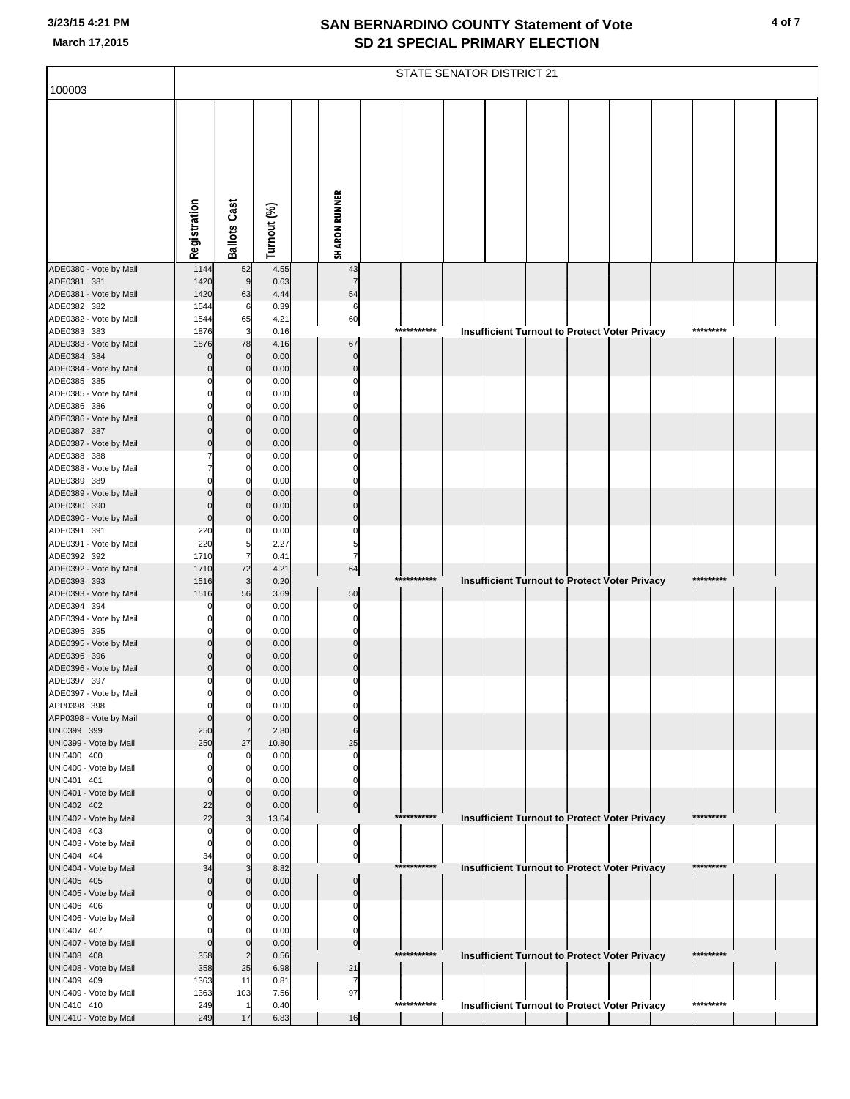|                                       | STATE SENATOR DISTRICT 21 |                          |               |  |                             |  |             |  |  |  |  |                                                      |  |           |  |  |
|---------------------------------------|---------------------------|--------------------------|---------------|--|-----------------------------|--|-------------|--|--|--|--|------------------------------------------------------|--|-----------|--|--|
| 100003                                |                           |                          |               |  |                             |  |             |  |  |  |  |                                                      |  |           |  |  |
|                                       | Registration              | <b>Ballots Cast</b>      | Turnout (%)   |  | <b>SHARON RUNNER</b>        |  |             |  |  |  |  |                                                      |  |           |  |  |
| ADE0380 - Vote by Mail                | 1144                      | 52                       | 4.55          |  | 43                          |  |             |  |  |  |  |                                                      |  |           |  |  |
| ADE0381 381                           | 1420                      | 9                        | 0.63          |  | $\overline{7}$              |  |             |  |  |  |  |                                                      |  |           |  |  |
| ADE0381 - Vote by Mail<br>ADE0382 382 | 1420<br>1544              | 63<br>6                  | 4.44<br>0.39  |  | 54<br>6                     |  |             |  |  |  |  |                                                      |  |           |  |  |
| ADE0382 - Vote by Mail                | 1544                      | 65                       | 4.21          |  | 60                          |  |             |  |  |  |  |                                                      |  |           |  |  |
| ADE0383 383                           | 1876                      | 3                        | 0.16          |  |                             |  | *********** |  |  |  |  | <b>Insufficient Turnout to Protect Voter Privacy</b> |  | ********* |  |  |
| ADE0383 - Vote by Mail<br>ADE0384 384 | 1876<br>$\mathbf 0$       | 78<br>$\mathbf 0$        | 4.16<br>0.00  |  | 67<br>$\mathbf 0$           |  |             |  |  |  |  |                                                      |  |           |  |  |
| ADE0384 - Vote by Mail                | $\mathbf 0$               | 0                        | 0.00          |  | $\mathbf 0$                 |  |             |  |  |  |  |                                                      |  |           |  |  |
| ADE0385 385                           |                           | 0                        | 0.00          |  | C                           |  |             |  |  |  |  |                                                      |  |           |  |  |
| ADE0385 - Vote by Mail                |                           | 0                        | 0.00          |  | C                           |  |             |  |  |  |  |                                                      |  |           |  |  |
| ADE0386 386                           |                           | $\Omega$                 | 0.00          |  | C                           |  |             |  |  |  |  |                                                      |  |           |  |  |
| ADE0386 - Vote by Mail<br>ADE0387 387 |                           | $\Omega$<br>$\mathbf{0}$ | 0.00<br>0.00  |  |                             |  |             |  |  |  |  |                                                      |  |           |  |  |
| ADE0387 - Vote by Mail                | $\Omega$                  | $\mathbf{0}$             | 0.00          |  | C                           |  |             |  |  |  |  |                                                      |  |           |  |  |
| ADE0388 388                           |                           | 0                        | 0.00          |  | C                           |  |             |  |  |  |  |                                                      |  |           |  |  |
| ADE0388 - Vote by Mail                |                           | 0                        | 0.00          |  |                             |  |             |  |  |  |  |                                                      |  |           |  |  |
| ADE0389 389                           |                           | $\Omega$                 | 0.00          |  | C                           |  |             |  |  |  |  |                                                      |  |           |  |  |
| ADE0389 - Vote by Mail<br>ADE0390 390 | $\mathbf 0$               | $\Omega$<br>$\mathbf{0}$ | 0.00<br>0.00  |  | C                           |  |             |  |  |  |  |                                                      |  |           |  |  |
| ADE0390 - Vote by Mail                | $\mathbf 0$               | $\Omega$                 | 0.00          |  | C                           |  |             |  |  |  |  |                                                      |  |           |  |  |
| ADE0391 391                           | 220                       | 0                        | 0.00          |  | C                           |  |             |  |  |  |  |                                                      |  |           |  |  |
| ADE0391 - Vote by Mail                | 220                       | 5                        | 2.27          |  | 5                           |  |             |  |  |  |  |                                                      |  |           |  |  |
| ADE0392 392<br>ADE0392 - Vote by Mail | 1710<br>1710              | 7<br>72                  | 0.41<br>4.21  |  | $\overline{7}$<br>64        |  |             |  |  |  |  |                                                      |  |           |  |  |
| ADE0393 393                           | 1516                      | 3                        | 0.20          |  |                             |  | *********** |  |  |  |  | Insufficient Turnout to Protect Voter Privacy        |  | ********* |  |  |
| ADE0393 - Vote by Mail                | 1516                      | 56                       | 3.69          |  | 50                          |  |             |  |  |  |  |                                                      |  |           |  |  |
| ADE0394 394                           |                           | 0                        | 0.00          |  | $\mathsf{C}$                |  |             |  |  |  |  |                                                      |  |           |  |  |
| ADE0394 - Vote by Mail<br>ADE0395 395 | $\Omega$                  | 0<br>$\Omega$            | 0.00<br>0.00  |  | C<br>$\Omega$               |  |             |  |  |  |  |                                                      |  |           |  |  |
| ADE0395 - Vote by Mail                |                           | $\Omega$                 | 0.00          |  |                             |  |             |  |  |  |  |                                                      |  |           |  |  |
| ADE0396 396                           | $\mathbf 0$               |                          | 0.00          |  | C                           |  |             |  |  |  |  |                                                      |  |           |  |  |
| ADE0396 - Vote by Mail                | $\mathbf 0$               | $\Omega$                 | 0.00          |  | $\Omega$                    |  |             |  |  |  |  |                                                      |  |           |  |  |
| ADE0397 397                           | $\mathbf 0$               | $\mathbf 0$              | 0.00          |  | $\Omega$                    |  |             |  |  |  |  |                                                      |  |           |  |  |
| ADE0397 - Vote by Mail<br>APP0398 398 | $\Omega$                  | 0<br>$\Omega$            | 0.00<br>0.00  |  |                             |  |             |  |  |  |  |                                                      |  |           |  |  |
| APP0398 - Vote by Mail                | $\mathbf 0$               | $\mathbf{0}$             | 0.00          |  |                             |  |             |  |  |  |  |                                                      |  |           |  |  |
| UNI0399 399                           | 250                       | $\overline{7}$           | 2.80          |  | 6                           |  |             |  |  |  |  |                                                      |  |           |  |  |
| UNI0399 - Vote by Mail                | 250                       | 27                       | 10.80         |  | 25                          |  |             |  |  |  |  |                                                      |  |           |  |  |
| UNI0400 400<br>UNI0400 - Vote by Mail | 0<br>$\Omega$             | 0<br>0                   | 0.00<br>0.00  |  | 0<br>0                      |  |             |  |  |  |  |                                                      |  |           |  |  |
| UNI0401 401                           | $\mathbf 0$               | $\Omega$                 | 0.00          |  | $\Omega$                    |  |             |  |  |  |  |                                                      |  |           |  |  |
| UNI0401 - Vote by Mail                | $\mathbf 0$               | $\Omega$                 | 0.00          |  | 0                           |  |             |  |  |  |  |                                                      |  |           |  |  |
| UNI0402 402                           | 22                        | $\Omega$                 | 0.00          |  | $\mathbf 0$                 |  |             |  |  |  |  |                                                      |  |           |  |  |
| UNI0402 - Vote by Mail<br>UNI0403 403 | 22<br>0                   | 3<br>0                   | 13.64<br>0.00 |  | 0                           |  | *********** |  |  |  |  | Insufficient Turnout to Protect Voter Privacy        |  | ********* |  |  |
| UNI0403 - Vote by Mail                | $\Omega$                  |                          | 0.00          |  | 0                           |  |             |  |  |  |  |                                                      |  |           |  |  |
| UNI0404 404                           | 34                        | 0                        | 0.00          |  | $\pmb{0}$                   |  |             |  |  |  |  |                                                      |  |           |  |  |
| UNI0404 - Vote by Mail                | 34                        |                          | 8.82          |  |                             |  | *********** |  |  |  |  | <b>Insufficient Turnout to Protect Voter Privacy</b> |  | ********* |  |  |
| UNI0405 405                           | $\Omega$<br>$\mathbf 0$   | $\Omega$                 | 0.00          |  | $\mathbf 0$                 |  |             |  |  |  |  |                                                      |  |           |  |  |
| UNI0405 - Vote by Mail<br>UNI0406 406 | $\Omega$                  | $\mathbf{0}$<br>0        | 0.00<br>0.00  |  | $\mathbf 0$<br>$\mathsf{C}$ |  |             |  |  |  |  |                                                      |  |           |  |  |
| UNI0406 - Vote by Mail                |                           | 0                        | 0.00          |  | 0                           |  |             |  |  |  |  |                                                      |  |           |  |  |
| UNI0407 407                           | $\Omega$                  | $\Omega$                 | 0.00          |  | $\Omega$                    |  |             |  |  |  |  |                                                      |  |           |  |  |
| UNI0407 - Vote by Mail                | $\mathbf 0$               | $\mathbf{0}$             | 0.00          |  | $\mathbf 0$                 |  |             |  |  |  |  |                                                      |  |           |  |  |
| UNI0408 408<br>UNI0408 - Vote by Mail | 358<br>358                | $\overline{2}$<br>25     | 0.56<br>6.98  |  | 21                          |  | *********** |  |  |  |  | Insufficient Turnout to Protect Voter Privacy        |  | ********* |  |  |
| UNI0409 409                           | 1363                      | 11                       | 0.81          |  | $\overline{7}$              |  |             |  |  |  |  |                                                      |  |           |  |  |
| UNI0409 - Vote by Mail                | 1363                      | 103                      | 7.56          |  | 97                          |  |             |  |  |  |  |                                                      |  |           |  |  |
| UNI0410 410                           | 249                       |                          | 0.40          |  |                             |  | *********** |  |  |  |  | <b>Insufficient Turnout to Protect Voter Privacy</b> |  | ********* |  |  |
| UNI0410 - Vote by Mail                | 249                       | 17                       | 6.83          |  | 16                          |  |             |  |  |  |  |                                                      |  |           |  |  |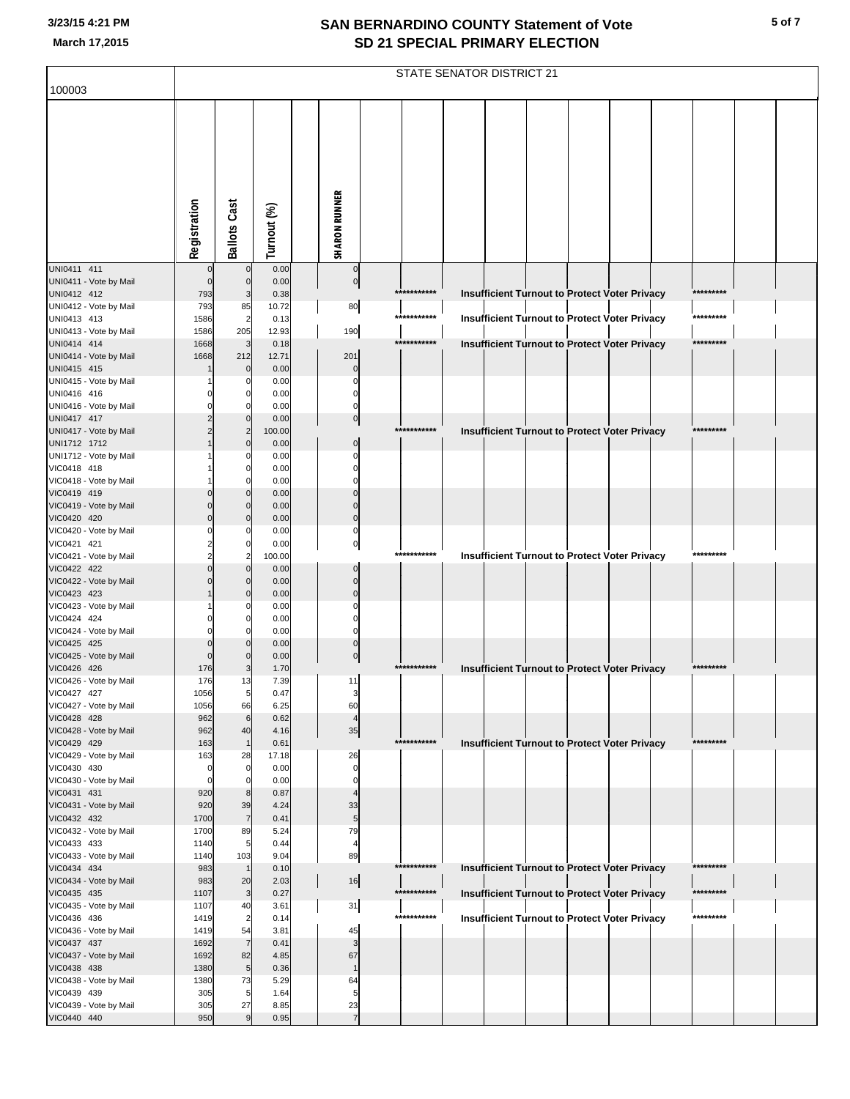|                                       | STATE SENATOR DISTRICT 21 |                      |               |                      |                            |             |  |  |  |  |                                                      |  |           |  |
|---------------------------------------|---------------------------|----------------------|---------------|----------------------|----------------------------|-------------|--|--|--|--|------------------------------------------------------|--|-----------|--|
| 100003                                |                           |                      |               |                      |                            |             |  |  |  |  |                                                      |  |           |  |
|                                       | Registration              | <b>Ballots Cast</b>  | Turnout (%)   | <b>SHARON RUNNER</b> |                            |             |  |  |  |  |                                                      |  |           |  |
| UNI0411 411                           |                           | $\mathbf 0$          | 0.00          |                      | $\mathbf 0$                |             |  |  |  |  |                                                      |  |           |  |
| UNI0411 - Vote by Mail                | $\mathbf 0$               | $\mathbf 0$          | 0.00          |                      | $\overline{0}$             |             |  |  |  |  |                                                      |  |           |  |
| UNI0412 412                           | 793                       | 3                    | 0.38          |                      |                            | *********** |  |  |  |  | Insufficient Turnout to Protect Voter Privacy        |  | ********* |  |
| UNI0412 - Vote by Mail<br>UNI0413 413 | 793<br>1586               | 85<br>$\overline{2}$ | 10.72<br>0.13 | 80                   |                            | *********** |  |  |  |  | <b>Insufficient Turnout to Protect Voter Privacy</b> |  | ********* |  |
| UNI0413 - Vote by Mail                | 1586                      | 205                  | 12.93         | 190                  |                            |             |  |  |  |  |                                                      |  |           |  |
| UNI0414 414                           | 1668                      | 3                    | 0.18          |                      |                            | *********** |  |  |  |  | Insufficient Turnout to Protect Voter Privacy        |  | ********* |  |
| UNI0414 - Vote by Mail                | 1668                      | 212                  | 12.71         | 201                  |                            |             |  |  |  |  |                                                      |  |           |  |
| UNI0415 415                           |                           | $\mathbf 0$          | 0.00          |                      | $\sqrt{ }$<br>$\mathsf{C}$ |             |  |  |  |  |                                                      |  |           |  |
| UNI0415 - Vote by Mail<br>UNI0416 416 |                           | $\Omega$<br>0        | 0.00<br>0.00  |                      | C                          |             |  |  |  |  |                                                      |  |           |  |
| UNI0416 - Vote by Mail                |                           |                      | 0.00          |                      |                            |             |  |  |  |  |                                                      |  |           |  |
| UNI0417 417                           |                           | $\mathbf{0}$         | 0.00          |                      | $\bf{0}$                   |             |  |  |  |  |                                                      |  |           |  |
| UNI0417 - Vote by Mail                |                           |                      | 100.00        |                      |                            | *********** |  |  |  |  | Insufficient Turnout to Protect Voter Privacy        |  | ********* |  |
| UNI1712 1712                          |                           | $\mathbf{0}$<br>C    | 0.00<br>0.00  |                      | $\Omega$<br>C              |             |  |  |  |  |                                                      |  |           |  |
| UNI1712 - Vote by Mail<br>VIC0418 418 |                           | 0                    | 0.00          |                      | C                          |             |  |  |  |  |                                                      |  |           |  |
| VIC0418 - Vote by Mail                |                           | O                    | 0.00          |                      |                            |             |  |  |  |  |                                                      |  |           |  |
| VIC0419 419                           |                           | $\mathbf{0}$         | 0.00          |                      |                            |             |  |  |  |  |                                                      |  |           |  |
| VIC0419 - Vote by Mail                |                           | $\Omega$             | 0.00          |                      | C                          |             |  |  |  |  |                                                      |  |           |  |
| VIC0420 420                           | $\Omega$                  | $\Omega$<br>O        | 0.00<br>0.00  |                      | $\Omega$<br>C              |             |  |  |  |  |                                                      |  |           |  |
| VIC0420 - Vote by Mail<br>VIC0421 421 |                           | 0                    | 0.00          |                      | $\Omega$                   |             |  |  |  |  |                                                      |  |           |  |
| VIC0421 - Vote by Mail                |                           |                      | 100.00        |                      |                            | *********** |  |  |  |  | <b>Insufficient Turnout to Protect Voter Privacy</b> |  | ********* |  |
| VIC0422 422                           |                           | $\mathbf{0}$         | 0.00          |                      | C                          |             |  |  |  |  |                                                      |  |           |  |
| VIC0422 - Vote by Mail                |                           | $\Omega$             | 0.00          |                      | $\Omega$                   |             |  |  |  |  |                                                      |  |           |  |
| VIC0423 423<br>VIC0423 - Vote by Mail |                           | $\mathbf{0}$<br>C    | 0.00<br>0.00  |                      | $\Omega$                   |             |  |  |  |  |                                                      |  |           |  |
| VIC0424 424                           |                           | 0                    | 0.00          |                      | C                          |             |  |  |  |  |                                                      |  |           |  |
| VIC0424 - Vote by Mail                |                           | O                    | 0.00          |                      | C                          |             |  |  |  |  |                                                      |  |           |  |
| VIC0425 425                           | $\Omega$                  | $\mathbf{0}$         | 0.00          |                      | $\Omega$                   |             |  |  |  |  |                                                      |  |           |  |
| VIC0425 - Vote by Mail                |                           | 0                    | 0.00          |                      | $\mathbf 0$                | *********** |  |  |  |  |                                                      |  | ********* |  |
| VIC0426 426<br>VIC0426 - Vote by Mail | 176<br>176                | 3<br>13              | 1.70<br>7.39  | 11                   |                            |             |  |  |  |  | <b>Insufficient Turnout to Protect Voter Privacy</b> |  |           |  |
| VIC0427 427                           | 1056                      | 5                    | 0.47          |                      | 3                          |             |  |  |  |  |                                                      |  |           |  |
| VIC0427 - Vote by Mail                | 1056                      | 66                   | 6.25          | 60                   |                            |             |  |  |  |  |                                                      |  |           |  |
| VIC0428 428                           | 962                       | 6                    | 0.62          |                      | $\overline{4}$             |             |  |  |  |  |                                                      |  |           |  |
| VIC0428 - Vote by Mail                | 962<br>163                | 40                   | 4.16<br>0.61  |                      | 35                         | *********** |  |  |  |  |                                                      |  | ********* |  |
| VIC0429 429<br>VIC0429 - Vote by Mail | 163                       | 28                   | 17.18         | 26                   |                            |             |  |  |  |  | Insufficient Turnout to Protect Voter Privacy        |  |           |  |
| VIC0430 430                           | 0                         | $\mathbf 0$          | 0.00          |                      | $\mathbf 0$                |             |  |  |  |  |                                                      |  |           |  |
| VIC0430 - Vote by Mail                | $\mathbf 0$               | $\Omega$             | 0.00          |                      | $\Omega$                   |             |  |  |  |  |                                                      |  |           |  |
| VIC0431 431                           | 920                       | 8                    | 0.87          |                      | $\overline{4}$             |             |  |  |  |  |                                                      |  |           |  |
| VIC0431 - Vote by Mail<br>VIC0432 432 | 920<br>1700               | 39<br>$\overline{7}$ | 4.24<br>0.41  | 33                   | 5                          |             |  |  |  |  |                                                      |  |           |  |
| VIC0432 - Vote by Mail                | 1700                      | 89                   | 5.24          | 79                   |                            |             |  |  |  |  |                                                      |  |           |  |
| VIC0433 433                           | 1140                      | 5                    | 0.44          |                      | $\overline{4}$             |             |  |  |  |  |                                                      |  |           |  |
| VIC0433 - Vote by Mail                | 1140                      | 103                  | 9.04          | 89                   |                            |             |  |  |  |  |                                                      |  |           |  |
| VIC0434 434                           | 983                       |                      | 0.10          |                      |                            | *********** |  |  |  |  | Insufficient Turnout to Protect Voter Privacy        |  | ********* |  |
| VIC0434 - Vote by Mail<br>VIC0435 435 | 983<br>1107               | 20<br>3              | 2.03<br>0.27  |                      | 16                         | *********** |  |  |  |  | Insufficient Turnout to Protect Voter Privacy        |  | ********* |  |
| VIC0435 - Vote by Mail                | 1107                      | 40                   | 3.61          | 31                   |                            |             |  |  |  |  |                                                      |  |           |  |
| VIC0436 436                           | 1419                      |                      | 0.14          |                      |                            | *********** |  |  |  |  | <b>Insufficient Turnout to Protect Voter Privacy</b> |  | ********* |  |
| VIC0436 - Vote by Mail                | 1419                      | 54                   | 3.81          | 45                   |                            |             |  |  |  |  |                                                      |  |           |  |
| VIC0437 437                           | 1692                      | $\overline{7}$       | 0.41          |                      | 3                          |             |  |  |  |  |                                                      |  |           |  |
| VIC0437 - Vote by Mail<br>VIC0438 438 | 1692<br>1380              | 82<br>5              | 4.85<br>0.36  | 67                   | $\overline{1}$             |             |  |  |  |  |                                                      |  |           |  |
| VIC0438 - Vote by Mail                | 1380                      | 73                   | 5.29          | 64                   |                            |             |  |  |  |  |                                                      |  |           |  |
| VIC0439 439                           | 305                       | 5                    | 1.64          |                      | 5                          |             |  |  |  |  |                                                      |  |           |  |
| VIC0439 - Vote by Mail                | 305                       | 27                   | 8.85          | 23                   |                            |             |  |  |  |  |                                                      |  |           |  |
| VIC0440 440                           | 950                       | 9                    | 0.95          |                      | $\overline{7}$             |             |  |  |  |  |                                                      |  |           |  |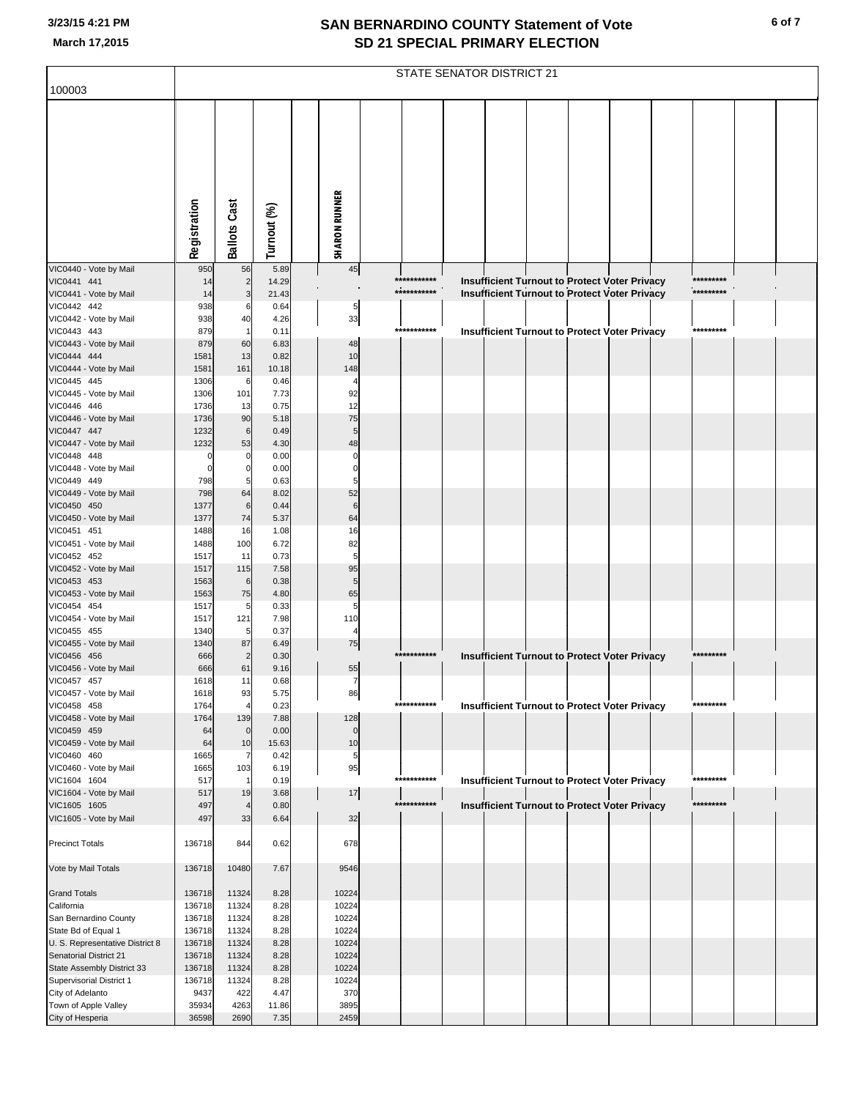|                                                  | STATE SENATOR DISTRICT 21 |                      |               |                      |             |  |                                                      |  |  |  |           |  |  |
|--------------------------------------------------|---------------------------|----------------------|---------------|----------------------|-------------|--|------------------------------------------------------|--|--|--|-----------|--|--|
| 100003                                           |                           |                      |               |                      |             |  |                                                      |  |  |  |           |  |  |
|                                                  | Registration              | <b>Ballots Cast</b>  | Turnout (%)   | <b>SHARON RUNNER</b> |             |  |                                                      |  |  |  |           |  |  |
| VIC0440 - Vote by Mail                           | 950                       | 56                   | 5.89          | 45                   |             |  |                                                      |  |  |  |           |  |  |
| VIC0441 441                                      | 14                        | $\overline{c}$       | 14.29         |                      | *********** |  | Insufficient Turnout to Protect Voter Privacy        |  |  |  | ********* |  |  |
| VIC0441 - Vote by Mail                           | 14                        | 3                    | 21.43         |                      | *********** |  | <b>Insufficient Turnout to Protect Voter Privacy</b> |  |  |  | ********* |  |  |
| VIC0442 442                                      | 938                       | 6                    | 0.64          | 5                    |             |  |                                                      |  |  |  |           |  |  |
| VIC0442 - Vote by Mail<br>VIC0443 443            | 938<br>879                | 40<br>$\overline{1}$ | 4.26<br>0.11  | 33                   | *********** |  |                                                      |  |  |  | ********* |  |  |
| VIC0443 - Vote by Mail                           | 879                       | 60                   | 6.83          | 48                   |             |  | <b>Insufficient Turnout to Protect Voter Privacy</b> |  |  |  |           |  |  |
| VIC0444 444                                      | 1581                      | 13                   | 0.82          | 10                   |             |  |                                                      |  |  |  |           |  |  |
| VIC0444 - Vote by Mail                           | 1581                      | 161                  | 10.18         | 148                  |             |  |                                                      |  |  |  |           |  |  |
| VIC0445 445                                      | 1306                      | 6                    | 0.46          | $\overline{4}$       |             |  |                                                      |  |  |  |           |  |  |
| VIC0445 - Vote by Mail<br>VIC0446 446            | 1306<br>1736              | 101<br>13            | 7.73<br>0.75  | 92<br>12             |             |  |                                                      |  |  |  |           |  |  |
| VIC0446 - Vote by Mail                           | 1736                      | 90                   | 5.18          | 75                   |             |  |                                                      |  |  |  |           |  |  |
| VIC0447 447                                      | 1232                      | $\,6$                | 0.49          | 5                    |             |  |                                                      |  |  |  |           |  |  |
| VIC0447 - Vote by Mail                           | 1232                      | 53                   | 4.30          | 48                   |             |  |                                                      |  |  |  |           |  |  |
| VIC0448 448                                      |                           | $\mathbf 0$          | 0.00          | 0                    |             |  |                                                      |  |  |  |           |  |  |
| VIC0448 - Vote by Mail<br>VIC0449 449            | 798                       | $\mathbf 0$<br>5     | 0.00<br>0.63  | $\mathbf 0$<br>5     |             |  |                                                      |  |  |  |           |  |  |
| VIC0449 - Vote by Mail                           | 798                       | 64                   | 8.02          | 52                   |             |  |                                                      |  |  |  |           |  |  |
| VIC0450 450                                      | 1377                      | 6                    | 0.44          | $\,6$                |             |  |                                                      |  |  |  |           |  |  |
| VIC0450 - Vote by Mail                           | 1377                      | 74                   | 5.37          | 64                   |             |  |                                                      |  |  |  |           |  |  |
| VIC0451 451                                      | 1488                      | 16                   | 1.08          | 16                   |             |  |                                                      |  |  |  |           |  |  |
| VIC0451 - Vote by Mail<br>VIC0452 452            | 1488<br>1517              | 100<br>11            | 6.72<br>0.73  | 82<br>5              |             |  |                                                      |  |  |  |           |  |  |
| VIC0452 - Vote by Mail                           | 1517                      | 115                  | 7.58          | 95                   |             |  |                                                      |  |  |  |           |  |  |
| VIC0453 453                                      | 1563                      | $\,6$                | 0.38          | 5                    |             |  |                                                      |  |  |  |           |  |  |
| VIC0453 - Vote by Mail                           | 1563                      | 75                   | 4.80          | 65                   |             |  |                                                      |  |  |  |           |  |  |
| VIC0454 454                                      | 1517                      | 5                    | 0.33          | 5                    |             |  |                                                      |  |  |  |           |  |  |
| VIC0454 - Vote by Mail<br>VIC0455 455            | 1517<br>1340              | 121<br>5             | 7.98<br>0.37  | 110<br>4             |             |  |                                                      |  |  |  |           |  |  |
| VIC0455 - Vote by Mail                           | 1340                      | 87                   | 6.49          | 75                   |             |  |                                                      |  |  |  |           |  |  |
| VIC0456 456                                      | 666                       | $\overline{2}$       | 0.30          |                      | *********** |  | Insufficient Turnout to Protect Voter Privacy        |  |  |  | ********* |  |  |
| VIC0456 - Vote by Mail                           | 666                       | 61                   | 9.16          | 55                   |             |  |                                                      |  |  |  |           |  |  |
| VIC0457 457<br>VIC0457 - Vote by Mail            | 1618<br>1618              | 11<br>93             | 0.68<br>5.75  | $\overline{7}$       |             |  |                                                      |  |  |  |           |  |  |
| VIC0458 458                                      | 1764                      | $\overline{4}$       | 0.23          | 86                   | *********** |  | <b>Insufficient Turnout to Protect Voter Privacy</b> |  |  |  | ********* |  |  |
| VIC0458 - Vote by Mail                           | 1764                      | 139                  | 7.88          | 128                  |             |  |                                                      |  |  |  |           |  |  |
| VIC0459 459                                      | 64                        | $\mathbf 0$          | 0.00          | $\mathbf 0$          |             |  |                                                      |  |  |  |           |  |  |
| VIC0459 - Vote by Mail<br>VIC0460 460            | 64<br>1665                | 10<br>7              | 15.63<br>0.42 | 10                   |             |  |                                                      |  |  |  |           |  |  |
| VIC0460 - Vote by Mail                           | 1665                      | 103                  | 6.19          | 5<br>95              |             |  |                                                      |  |  |  |           |  |  |
| VIC1604 1604                                     | 517                       | -1                   | 0.19          |                      | *********** |  | <b>Insufficient Turnout to Protect Voter Privacy</b> |  |  |  | ********* |  |  |
| VIC1604 - Vote by Mail                           | 517                       | 19                   | 3.68          | 17                   |             |  |                                                      |  |  |  |           |  |  |
| VIC1605 1605                                     | 497                       | $\overline{4}$       | 0.80          |                      | *********** |  | <b>Insufficient Turnout to Protect Voter Privacy</b> |  |  |  | ********* |  |  |
| VIC1605 - Vote by Mail<br><b>Precinct Totals</b> | 497<br>136718             | 33<br>844            | 6.64<br>0.62  | 32<br>678            |             |  |                                                      |  |  |  |           |  |  |
| Vote by Mail Totals                              | 136718                    | 10480                | 7.67          | 9546                 |             |  |                                                      |  |  |  |           |  |  |
| <b>Grand Totals</b>                              | 136718                    | 11324                | 8.28          | 10224                |             |  |                                                      |  |  |  |           |  |  |
| California                                       | 136718                    | 11324                | 8.28          | 10224                |             |  |                                                      |  |  |  |           |  |  |
| San Bernardino County<br>State Bd of Equal 1     | 136718<br>136718          | 11324<br>11324       | 8.28<br>8.28  | 10224<br>10224       |             |  |                                                      |  |  |  |           |  |  |
| U. S. Representative District 8                  | 136718                    | 11324                | 8.28          | 10224                |             |  |                                                      |  |  |  |           |  |  |
| Senatorial District 21                           | 136718                    | 11324                | 8.28          | 10224                |             |  |                                                      |  |  |  |           |  |  |
| State Assembly District 33                       | 136718                    | 11324                | 8.28          | 10224                |             |  |                                                      |  |  |  |           |  |  |
| Supervisorial District 1                         | 136718                    | 11324                | 8.28          | 10224                |             |  |                                                      |  |  |  |           |  |  |
| City of Adelanto<br>Town of Apple Valley         | 9437<br>35934             | 422<br>4263          | 4.47<br>11.86 | 370<br>3895          |             |  |                                                      |  |  |  |           |  |  |
| City of Hesperia                                 | 36598                     | 2690                 | 7.35          | 2459                 |             |  |                                                      |  |  |  |           |  |  |